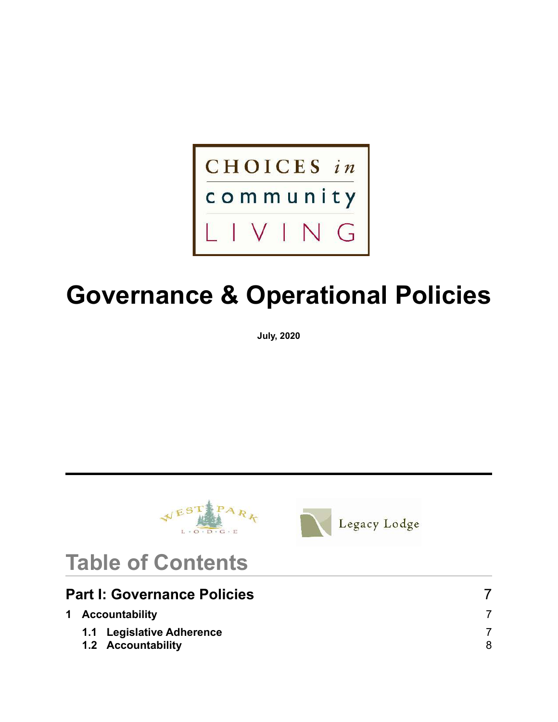

# **Governance & Operational Policies**

**July, 2020**





# **Table of Contents**

| <b>Part I: Governance Policies</b> |                           |  |
|------------------------------------|---------------------------|--|
|                                    | 1 Accountability          |  |
|                                    | 1.1 Legislative Adherence |  |
|                                    | 1.2 Accountability        |  |
|                                    |                           |  |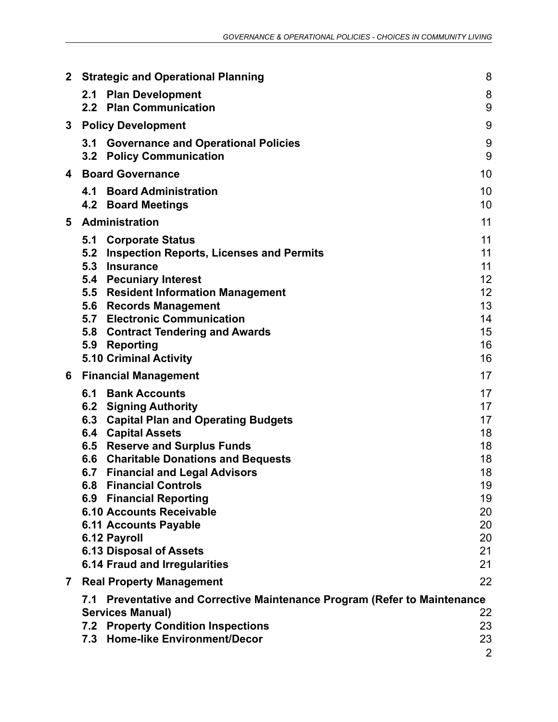| $\mathbf{2}$ | <b>Strategic and Operational Planning</b>                                                                                                                                                                                                                                                                                                                                                                                                                                                                            | 8                                                                                |
|--------------|----------------------------------------------------------------------------------------------------------------------------------------------------------------------------------------------------------------------------------------------------------------------------------------------------------------------------------------------------------------------------------------------------------------------------------------------------------------------------------------------------------------------|----------------------------------------------------------------------------------|
|              | 2.1<br><b>Plan Development</b><br>2.2 Plan Communication                                                                                                                                                                                                                                                                                                                                                                                                                                                             | 8<br>9                                                                           |
| 3            | <b>Policy Development</b>                                                                                                                                                                                                                                                                                                                                                                                                                                                                                            | 9                                                                                |
|              | 3.1 Governance and Operational Policies<br><b>Policy Communication</b><br>3.2                                                                                                                                                                                                                                                                                                                                                                                                                                        | $9\,$<br>9                                                                       |
| 4            | <b>Board Governance</b>                                                                                                                                                                                                                                                                                                                                                                                                                                                                                              | 10                                                                               |
|              | <b>Board Administration</b><br>4.1<br>4.2 Board Meetings                                                                                                                                                                                                                                                                                                                                                                                                                                                             | 10<br>10                                                                         |
| 5            | <b>Administration</b>                                                                                                                                                                                                                                                                                                                                                                                                                                                                                                | 11                                                                               |
|              | 5.1 Corporate Status<br>5.2 Inspection Reports, Licenses and Permits<br>5.3<br><b>Insurance</b><br><b>Pecuniary Interest</b><br>5.4<br><b>Resident Information Management</b><br>5.5<br><b>Records Management</b><br>5.6<br>5.7 Electronic Communication<br>5.8 Contract Tendering and Awards<br><b>Reporting</b><br>5.9<br><b>5.10 Criminal Activity</b>                                                                                                                                                            | 11<br>11<br>11<br>12<br>12<br>13<br>14<br>15<br>16<br>16                         |
| 6            | <b>Financial Management</b>                                                                                                                                                                                                                                                                                                                                                                                                                                                                                          | 17                                                                               |
|              | <b>Bank Accounts</b><br>6.1<br>6.2 Signing Authority<br><b>Capital Plan and Operating Budgets</b><br>6.3<br><b>6.4 Capital Assets</b><br><b>Reserve and Surplus Funds</b><br>6.5<br><b>Charitable Donations and Bequests</b><br>6.6<br><b>Financial and Legal Advisors</b><br>6.7<br><b>Financial Controls</b><br>6.8<br><b>6.9 Financial Reporting</b><br><b>6.10 Accounts Receivable</b><br><b>6.11 Accounts Payable</b><br>6.12 Payroll<br><b>6.13 Disposal of Assets</b><br><b>6.14 Fraud and Irregularities</b> | 17<br>17<br>17<br>18<br>18<br>18<br>18<br>19<br>19<br>20<br>20<br>20<br>21<br>21 |
| 7            | <b>Real Property Management</b>                                                                                                                                                                                                                                                                                                                                                                                                                                                                                      | 22                                                                               |
|              | Preventative and Corrective Maintenance Program (Refer to Maintenance<br>7.1<br><b>Services Manual)</b><br><b>Property Condition Inspections</b><br>7.2<br><b>Home-like Environment/Decor</b><br>7.3                                                                                                                                                                                                                                                                                                                 | 22<br>23<br>23<br>$\overline{2}$                                                 |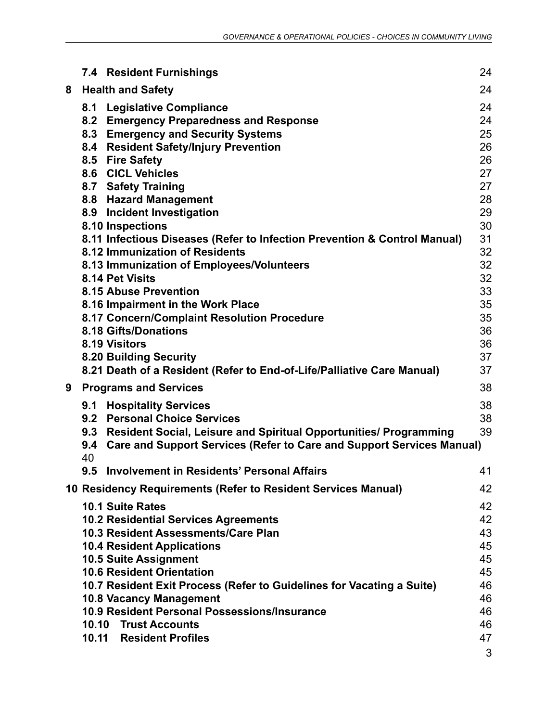|   |     | <b>7.4 Resident Furnishings</b>                                              | 24       |
|---|-----|------------------------------------------------------------------------------|----------|
| 8 |     | <b>Health and Safety</b>                                                     | 24       |
|   |     | 8.1 Legislative Compliance                                                   | 24       |
|   |     | 8.2 Emergency Preparedness and Response                                      | 24       |
|   |     | 8.3 Emergency and Security Systems                                           | 25       |
|   |     | 8.4 Resident Safety/Injury Prevention                                        | 26       |
|   |     | 8.5 Fire Safety                                                              | 26       |
|   |     | 8.6 CICL Vehicles                                                            | 27       |
|   |     | 8.7 Safety Training                                                          | 27       |
|   |     | 8.8 Hazard Management                                                        | 28       |
|   |     | 8.9 Incident Investigation                                                   | 29       |
|   |     | 8.10 Inspections                                                             | 30       |
|   |     | 8.11 Infectious Diseases (Refer to Infection Prevention & Control Manual)    | 31       |
|   |     | 8.12 Immunization of Residents                                               | 32       |
|   |     | 8.13 Immunization of Employees/Volunteers                                    | 32       |
|   |     | 8.14 Pet Visits                                                              | 32       |
|   |     | 8.15 Abuse Prevention                                                        | 33       |
|   |     | 8.16 Impairment in the Work Place                                            | 35<br>35 |
|   |     | 8.17 Concern/Complaint Resolution Procedure<br>8.18 Gifts/Donations          | 36       |
|   |     | 8.19 Visitors                                                                | 36       |
|   |     | 8.20 Building Security                                                       | 37       |
|   |     | 8.21 Death of a Resident (Refer to End-of-Life/Palliative Care Manual)       | 37       |
| 9 |     | <b>Programs and Services</b>                                                 | 38       |
|   |     | 9.1 Hospitality Services                                                     | 38       |
|   |     | 9.2 Personal Choice Services                                                 | 38       |
|   |     | 9.3 Resident Social, Leisure and Spiritual Opportunities/ Programming        | 39       |
|   | 9.4 | <b>Care and Support Services (Refer to Care and Support Services Manual)</b> |          |
|   | 40  |                                                                              |          |
|   | 9.5 | <b>Involvement in Residents' Personal Affairs</b>                            | 41       |
|   |     | 10 Residency Requirements (Refer to Resident Services Manual)                | 42       |
|   |     | <b>10.1 Suite Rates</b>                                                      | 42       |
|   |     | <b>10.2 Residential Services Agreements</b>                                  | 42       |
|   |     | 10.3 Resident Assessments/Care Plan                                          | 43       |
|   |     | <b>10.4 Resident Applications</b>                                            | 45       |
|   |     | <b>10.5 Suite Assignment</b>                                                 | 45       |
|   |     | <b>10.6 Resident Orientation</b>                                             | 45       |
|   |     | 10.7 Resident Exit Process (Refer to Guidelines for Vacating a Suite)        | 46       |
|   |     | <b>10.8 Vacancy Management</b>                                               | 46       |
|   |     | 10.9 Resident Personal Possessions/Insurance                                 | 46       |
|   |     | 10.10 Trust Accounts<br>10.11 Resident Profiles                              | 46<br>47 |
|   |     |                                                                              |          |
|   |     |                                                                              | 3        |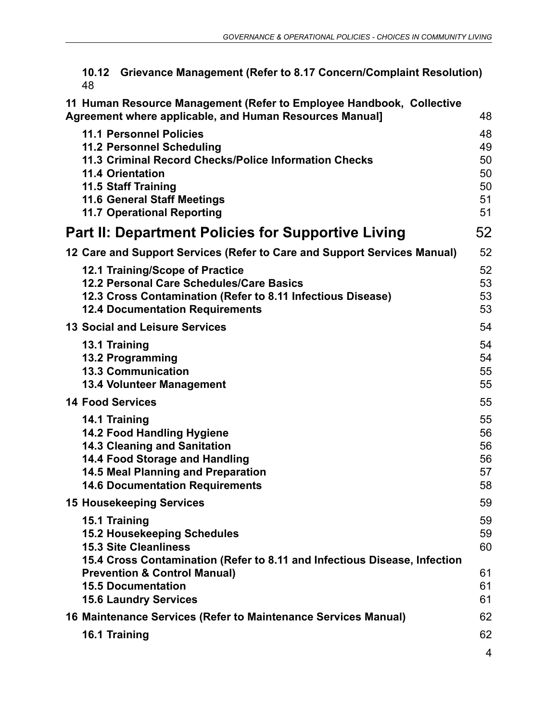|     | 10.12 Grievance Management (Refer to 8.17 Concern/Complaint Resolution) |
|-----|-------------------------------------------------------------------------|
| -48 |                                                                         |

| 11 Human Resource Management (Refer to Employee Handbook, Collective<br>Agreement where applicable, and Human Resources Manual]                                                                                                                          | 48                                     |
|----------------------------------------------------------------------------------------------------------------------------------------------------------------------------------------------------------------------------------------------------------|----------------------------------------|
| <b>11.1 Personnel Policies</b><br><b>11.2 Personnel Scheduling</b><br>11.3 Criminal Record Checks/Police Information Checks<br><b>11.4 Orientation</b><br>11.5 Staff Training<br><b>11.6 General Staff Meetings</b><br><b>11.7 Operational Reporting</b> | 48<br>49<br>50<br>50<br>50<br>51<br>51 |
| Part II: Department Policies for Supportive Living                                                                                                                                                                                                       | 52                                     |
| 12 Care and Support Services (Refer to Care and Support Services Manual)                                                                                                                                                                                 | 52                                     |
| 12.1 Training/Scope of Practice<br>12.2 Personal Care Schedules/Care Basics<br>12.3 Cross Contamination (Refer to 8.11 Infectious Disease)<br><b>12.4 Documentation Requirements</b>                                                                     | 52<br>53<br>53<br>53                   |
| <b>13 Social and Leisure Services</b>                                                                                                                                                                                                                    | 54                                     |
| 13.1 Training<br><b>13.2 Programming</b><br><b>13.3 Communication</b><br><b>13.4 Volunteer Management</b>                                                                                                                                                | 54<br>54<br>55<br>55                   |
| <b>14 Food Services</b>                                                                                                                                                                                                                                  | 55                                     |
| 14.1 Training<br><b>14.2 Food Handling Hygiene</b><br><b>14.3 Cleaning and Sanitation</b><br>14.4 Food Storage and Handling<br><b>14.5 Meal Planning and Preparation</b><br><b>14.6 Documentation Requirements</b>                                       | 55<br>56<br>56<br>56<br>57<br>58       |
| <b>15 Housekeeping Services</b>                                                                                                                                                                                                                          | 59                                     |
| 15.1 Training<br><b>15.2 Housekeeping Schedules</b><br><b>15.3 Site Cleanliness</b><br>15.4 Cross Contamination (Refer to 8.11 and Infectious Disease, Infection<br><b>Prevention &amp; Control Manual)</b>                                              | 59<br>59<br>60<br>61                   |
| <b>15.5 Documentation</b>                                                                                                                                                                                                                                | 61<br>61                               |
| <b>15.6 Laundry Services</b><br>16 Maintenance Services (Refer to Maintenance Services Manual)                                                                                                                                                           | 62                                     |
|                                                                                                                                                                                                                                                          | 62                                     |
| 16.1 Training                                                                                                                                                                                                                                            | 4                                      |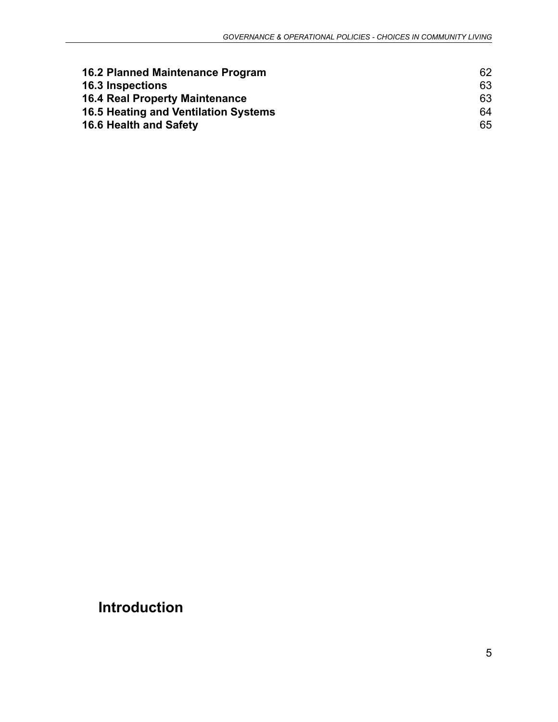| <b>16.2 Planned Maintenance Program</b> | 62 |
|-----------------------------------------|----|
| <b>16.3 Inspections</b>                 | 63 |
| <b>16.4 Real Property Maintenance</b>   | 63 |
| 16.5 Heating and Ventilation Systems    | 64 |
| 16.6 Health and Safety                  | 65 |

# **Introduction**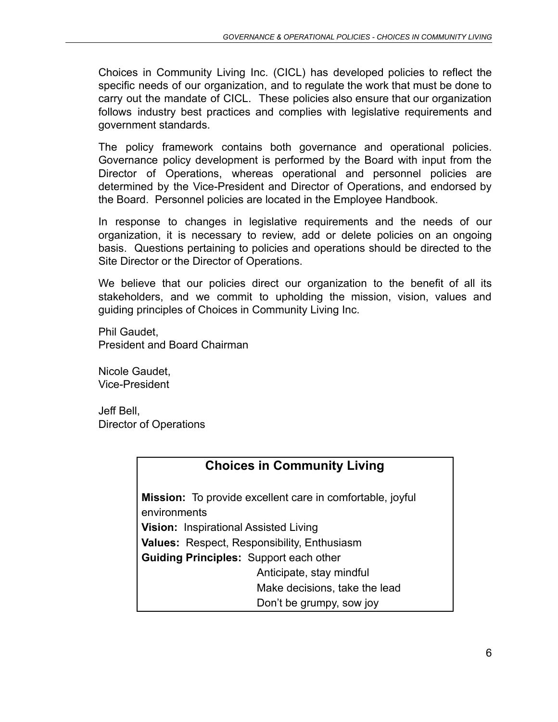Choices in Community Living Inc. (CICL) has developed policies to reflect the specific needs of our organization, and to regulate the work that must be done to carry out the mandate of CICL. These policies also ensure that our organization follows industry best practices and complies with legislative requirements and government standards.

The policy framework contains both governance and operational policies. Governance policy development is performed by the Board with input from the Director of Operations, whereas operational and personnel policies are determined by the Vice-President and Director of Operations, and endorsed by the Board. Personnel policies are located in the Employee Handbook.

In response to changes in legislative requirements and the needs of our organization, it is necessary to review, add or delete policies on an ongoing basis. Questions pertaining to policies and operations should be directed to the Site Director or the Director of Operations.

We believe that our policies direct our organization to the benefit of all its stakeholders, and we commit to upholding the mission, vision, values and guiding principles of Choices in Community Living Inc.

Phil Gaudet, President and Board Chairman

Nicole Gaudet, Vice-President

Jeff Bell, Director of Operations

# **Choices in Community Living**

<span id="page-5-0"></span>**Mission:** To provide excellent care in comfortable, joyful environments **Vision:** Inspirational Assisted Living **Values:** Respect, Responsibility, Enthusiasm **Guiding Principles:** Support each other Anticipate, stay mindful Make decisions, take the lead Don't be grumpy, sow joy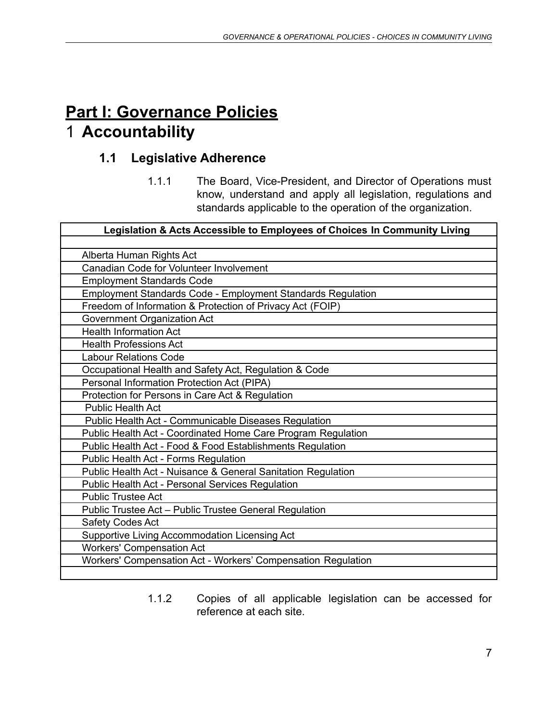# <span id="page-6-1"></span><span id="page-6-0"></span>**Part I: Governance Policies** 1 **Accountability**

# **1.1 Legislative Adherence**

1.1.1 The Board, Vice-President, and Director of Operations must know, understand and apply all legislation, regulations and standards applicable to the operation of the organization.

| Legislation & Acts Accessible to Employees of Choices In Community Living |
|---------------------------------------------------------------------------|
|                                                                           |
| Alberta Human Rights Act                                                  |
| Canadian Code for Volunteer Involvement                                   |
| <b>Employment Standards Code</b>                                          |
| <b>Employment Standards Code - Employment Standards Regulation</b>        |
| Freedom of Information & Protection of Privacy Act (FOIP)                 |
| Government Organization Act                                               |
| <b>Health Information Act</b>                                             |
| <b>Health Professions Act</b>                                             |
| <b>Labour Relations Code</b>                                              |
| Occupational Health and Safety Act, Regulation & Code                     |
| Personal Information Protection Act (PIPA)                                |
| Protection for Persons in Care Act & Regulation                           |
| <b>Public Health Act</b>                                                  |
| Public Health Act - Communicable Diseases Regulation                      |
| Public Health Act - Coordinated Home Care Program Regulation              |
| Public Health Act - Food & Food Establishments Regulation                 |
| Public Health Act - Forms Regulation                                      |
| Public Health Act - Nuisance & General Sanitation Regulation              |
| Public Health Act - Personal Services Regulation                          |
| <b>Public Trustee Act</b>                                                 |
| Public Trustee Act - Public Trustee General Regulation                    |
| <b>Safety Codes Act</b>                                                   |
| Supportive Living Accommodation Licensing Act                             |
| <b>Workers' Compensation Act</b>                                          |
| Workers' Compensation Act - Workers' Compensation Regulation              |
|                                                                           |

1.1.2 Copies of all applicable legislation can be accessed for reference at each site.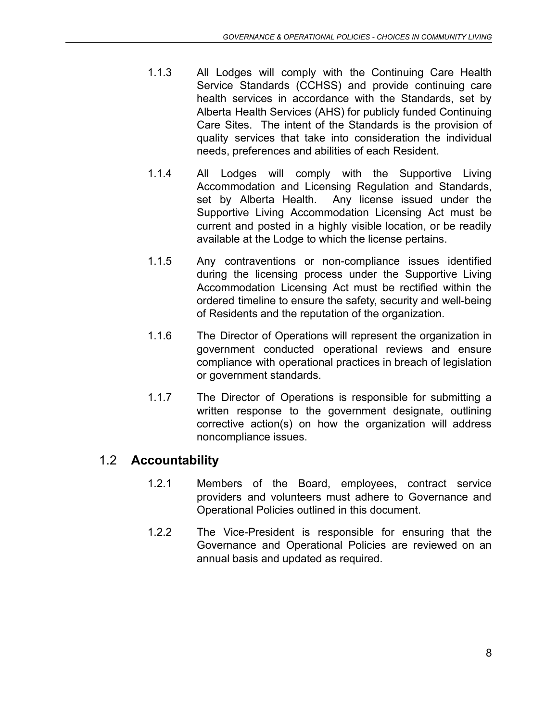- 1.1.3 All Lodges will comply with the Continuing Care Health Service Standards (CCHSS) and provide continuing care health services in accordance with the Standards, set by Alberta Health Services (AHS) for publicly funded Continuing Care Sites. The intent of the Standards is the provision of quality services that take into consideration the individual needs, preferences and abilities of each Resident.
- 1.1.4 All Lodges will comply with the Supportive Living Accommodation and Licensing Regulation and Standards, set by Alberta Health. Any license issued under the Supportive Living Accommodation Licensing Act must be current and posted in a highly visible location, or be readily available at the Lodge to which the license pertains.
- 1.1.5 Any contraventions or non-compliance issues identified during the licensing process under the Supportive Living Accommodation Licensing Act must be rectified within the ordered timeline to ensure the safety, security and well-being of Residents and the reputation of the organization.
- 1.1.6 The Director of Operations will represent the organization in government conducted operational reviews and ensure compliance with operational practices in breach of legislation or government standards.
- 1.1.7 The Director of Operations is responsible for submitting a written response to the government designate, outlining corrective action(s) on how the organization will address noncompliance issues.

# <span id="page-7-0"></span>1.2 **Accountability**

- 1.2.1 Members of the Board, employees, contract service providers and volunteers must adhere to Governance and Operational Policies outlined in this document.
- <span id="page-7-1"></span>1.2.2 The Vice-President is responsible for ensuring that the Governance and Operational Policies are reviewed on an annual basis and updated as required.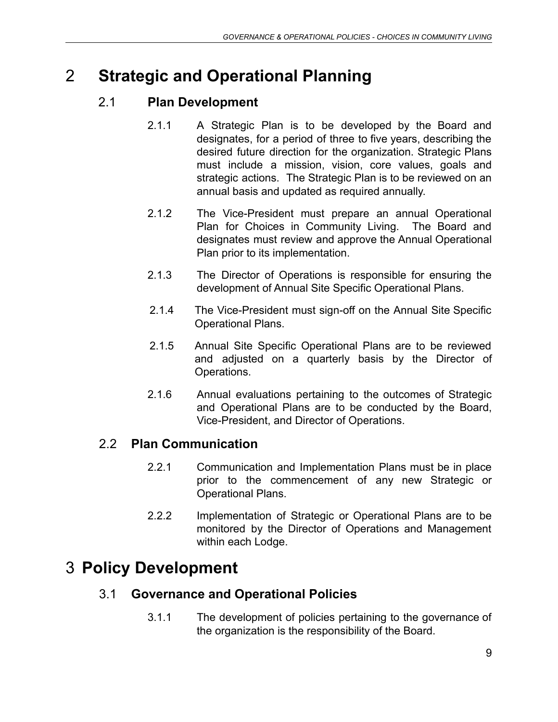# <span id="page-8-0"></span>2 **Strategic and Operational Planning**

# 2.1 **Plan Development**

- 2.1.1 A Strategic Plan is to be developed by the Board and designates, for a period of three to five years, describing the desired future direction for the organization. Strategic Plans must include a mission, vision, core values, goals and strategic actions. The Strategic Plan is to be reviewed on an annual basis and updated as required annually.
- 2.1.2 The Vice-President must prepare an annual Operational Plan for Choices in Community Living. The Board and designates must review and approve the Annual Operational Plan prior to its implementation.
- 2.1.3 The Director of Operations is responsible for ensuring the development of Annual Site Specific Operational Plans.
- 2.1.4 The Vice-President must sign-off on the Annual Site Specific Operational Plans.
- 2.1.5 Annual Site Specific Operational Plans are to be reviewed and adjusted on a quarterly basis by the Director of Operations.
- 2.1.6 Annual evaluations pertaining to the outcomes of Strategic and Operational Plans are to be conducted by the Board, Vice-President, and Director of Operations.

# <span id="page-8-1"></span>2.2 **Plan Communication**

- 2.2.1 Communication and Implementation Plans must be in place prior to the commencement of any new Strategic or Operational Plans.
- 2.2.2 Implementation of Strategic or Operational Plans are to be monitored by the Director of Operations and Management within each Lodge.

# <span id="page-8-3"></span><span id="page-8-2"></span>3 **Policy Development**

# 3.1 **Governance and Operational Policies**

3.1.1 The development of policies pertaining to the governance of the organization is the responsibility of the Board.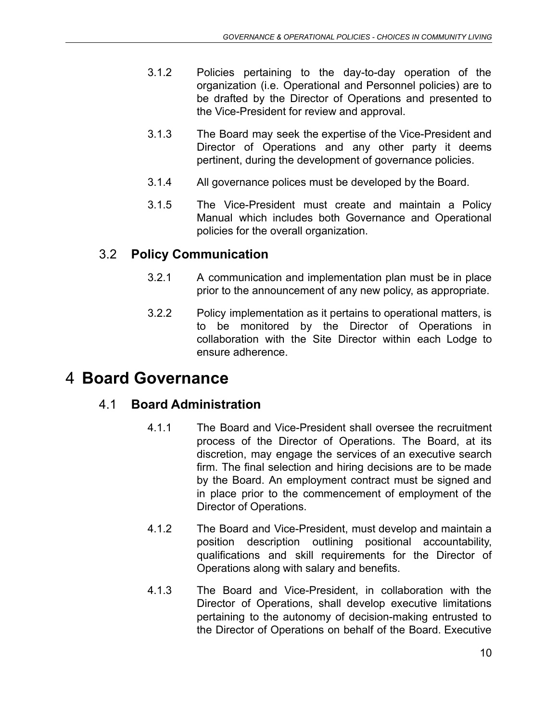- 3.1.2 Policies pertaining to the day-to-day operation of the organization (i.e. Operational and Personnel policies) are to be drafted by the Director of Operations and presented to the Vice-President for review and approval.
- 3.1.3 The Board may seek the expertise of the Vice-President and Director of Operations and any other party it deems pertinent, during the development of governance policies.
- 3.1.4 All governance polices must be developed by the Board.
- 3.1.5 The Vice-President must create and maintain a Policy Manual which includes both Governance and Operational policies for the overall organization.

#### <span id="page-9-0"></span>3.2 **Policy Communication**

- 3.2.1 A communication and implementation plan must be in place prior to the announcement of any new policy, as appropriate.
- 3.2.2 Policy implementation as it pertains to operational matters, is to be monitored by the Director of Operations in collaboration with the Site Director within each Lodge to ensure adherence.

# 4 **Board Governance**

#### 4.1 **Board Administration**

- 4.1.1 The Board and Vice-President shall oversee the recruitment process of the Director of Operations. The Board, at its discretion, may engage the services of an executive search firm. The final selection and hiring decisions are to be made by the Board. An employment contract must be signed and in place prior to the commencement of employment of the Director of Operations.
- 4.1.2 The Board and Vice-President, must develop and maintain a position description outlining positional accountability, qualifications and skill requirements for the Director of Operations along with salary and benefits.
- 4.1.3 The Board and Vice-President, in collaboration with the Director of Operations, shall develop executive limitations pertaining to the autonomy of decision-making entrusted to the Director of Operations on behalf of the Board. Executive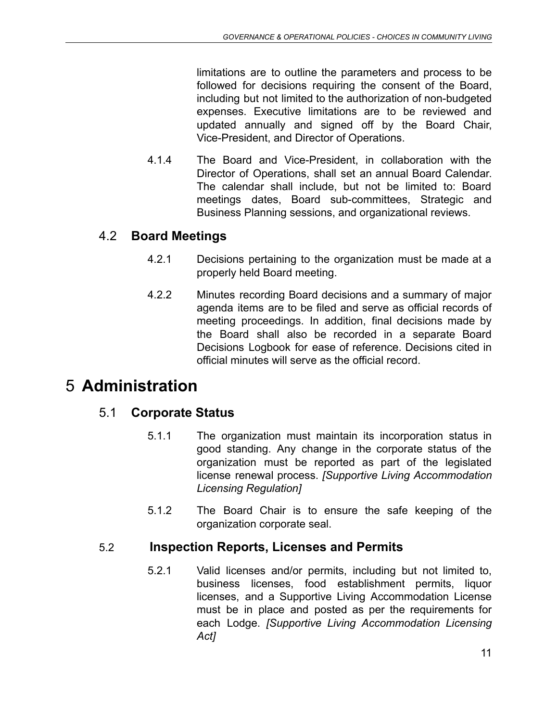limitations are to outline the parameters and process to be followed for decisions requiring the consent of the Board, including but not limited to the authorization of non-budgeted expenses. Executive limitations are to be reviewed and updated annually and signed off by the Board Chair, Vice-President, and Director of Operations.

4.1.4 The Board and Vice-President, in collaboration with the Director of Operations, shall set an annual Board Calendar. The calendar shall include, but not be limited to: Board meetings dates, Board sub-committees, Strategic and Business Planning sessions, and organizational reviews.

# 4.2 **Board Meetings**

- 4.2.1 Decisions pertaining to the organization must be made at a properly held Board meeting.
- 4.2.2 Minutes recording Board decisions and a summary of major agenda items are to be filed and serve as official records of meeting proceedings. In addition, final decisions made by the Board shall also be recorded in a separate Board Decisions Logbook for ease of reference. Decisions cited in official minutes will serve as the official record.

# <span id="page-10-1"></span><span id="page-10-0"></span>5 **Administration**

# 5.1 **Corporate Status**

- 5.1.1 The organization must maintain its incorporation status in good standing. Any change in the corporate status of the organization must be reported as part of the legislated license renewal process. *[Supportive Living Accommodation Licensing Regulation]*
- 5.1.2 The Board Chair is to ensure the safe keeping of the organization corporate seal.

# <span id="page-10-2"></span>5.2 **Inspection Reports, Licenses and Permits**

5.2.1 Valid licenses and/or permits, including but not limited to, business licenses, food establishment permits, liquor licenses, and a Supportive Living Accommodation License must be in place and posted as per the requirements for each Lodge. *[Supportive Living Accommodation Licensing Act]*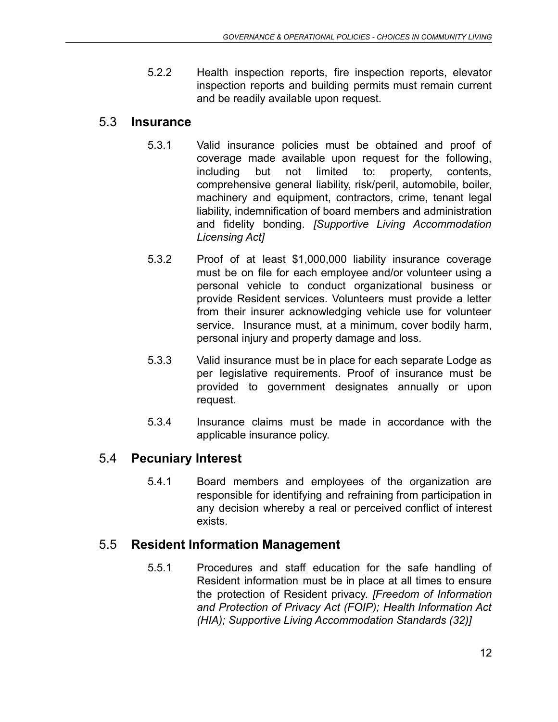5.2.2 Health inspection reports, fire inspection reports, elevator inspection reports and building permits must remain current and be readily available upon request.

#### <span id="page-11-0"></span>5.3 **Insurance**

- 5.3.1 Valid insurance policies must be obtained and proof of coverage made available upon request for the following, including but not limited to: property, contents, comprehensive general liability, risk/peril, automobile, boiler, machinery and equipment, contractors, crime, tenant legal liability, indemnification of board members and administration and fidelity bonding. *[Supportive Living Accommodation Licensing Act]*
- 5.3.2 Proof of at least \$1,000,000 liability insurance coverage must be on file for each employee and/or volunteer using a personal vehicle to conduct organizational business or provide Resident services. Volunteers must provide a letter from their insurer acknowledging vehicle use for volunteer service. Insurance must, at a minimum, cover bodily harm, personal injury and property damage and loss.
- 5.3.3 Valid insurance must be in place for each separate Lodge as per legislative requirements. Proof of insurance must be provided to government designates annually or upon request.
- 5.3.4 Insurance claims must be made in accordance with the applicable insurance policy.

# <span id="page-11-1"></span>5.4 **Pecuniary Interest**

5.4.1 Board members and employees of the organization are responsible for identifying and refraining from participation in any decision whereby a real or perceived conflict of interest exists.

# <span id="page-11-2"></span>5.5 **Resident Information Management**

5.5.1 Procedures and staff education for the safe handling of Resident information must be in place at all times to ensure the protection of Resident privacy. *[Freedom of Information and Protection of Privacy Act (FOIP); Health Information Act (HIA); Supportive Living Accommodation Standards (32)]*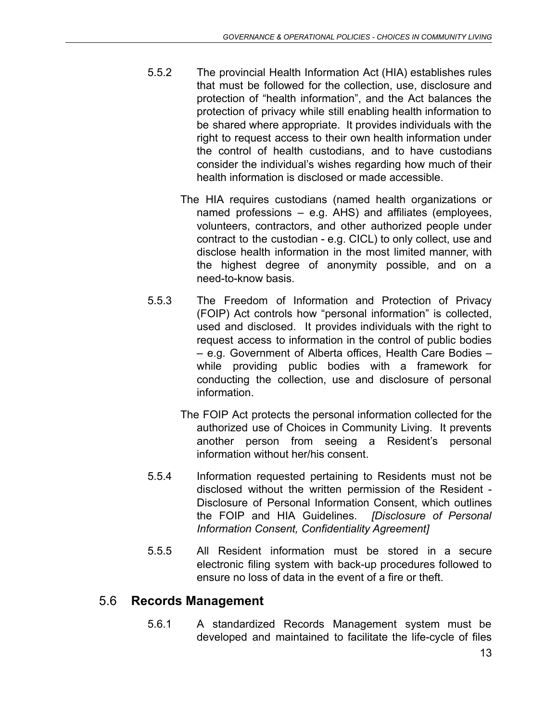- 5.5.2 The provincial Health Information Act (HIA) establishes rules that must be followed for the collection, use, disclosure and protection of "health information", and the Act balances the protection of privacy while still enabling health information to be shared where appropriate. It provides individuals with the right to request access to their own health information under the control of health custodians, and to have custodians consider the individual's wishes regarding how much of their health information is disclosed or made accessible.
	- The HIA requires custodians (named health organizations or named professions – e.g. AHS) and affiliates (employees, volunteers, contractors, and other authorized people under contract to the custodian - e.g. CICL) to only collect, use and disclose health information in the most limited manner, with the highest degree of anonymity possible, and on a need-to-know basis.
- 5.5.3 The Freedom of Information and Protection of Privacy (FOIP) Act controls how "personal information" is collected, used and disclosed. It provides individuals with the right to request access to information in the control of public bodies – e.g. Government of Alberta offices, Health Care Bodies – while providing public bodies with a framework for conducting the collection, use and disclosure of personal information.
	- The FOIP Act protects the personal information collected for the authorized use of Choices in Community Living. It prevents another person from seeing a Resident's personal information without her/his consent.
- 5.5.4 Information requested pertaining to Residents must not be disclosed without the written permission of the Resident - Disclosure of Personal Information Consent, which outlines the FOIP and HIA Guidelines. *[Disclosure of Personal Information Consent, Confidentiality Agreement]*
- 5.5.5 All Resident information must be stored in a secure electronic filing system with back-up procedures followed to ensure no loss of data in the event of a fire or theft.

# <span id="page-12-0"></span>5.6 **Records Management**

5.6.1 A standardized Records Management system must be developed and maintained to facilitate the life-cycle of files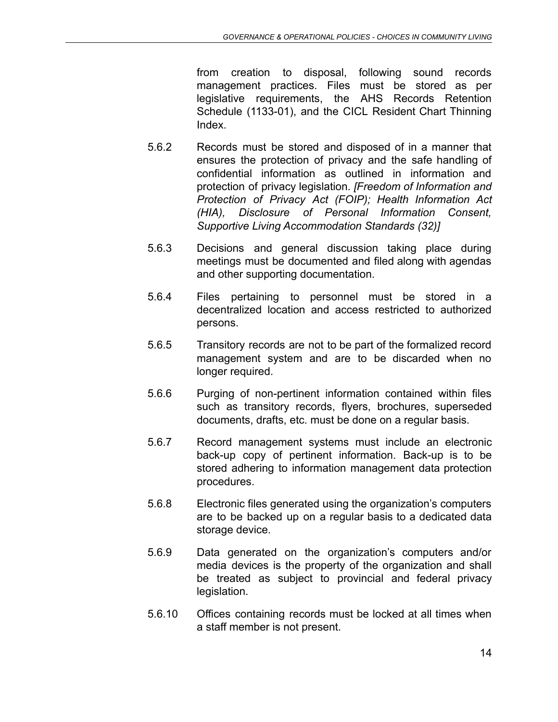from creation to disposal, following sound records management practices. Files must be stored as per legislative requirements, the AHS Records Retention Schedule (1133-01), and the CICL Resident Chart Thinning Index.

- 5.6.2 Records must be stored and disposed of in a manner that ensures the protection of privacy and the safe handling of confidential information as outlined in information and protection of privacy legislation. *[Freedom of Information and Protection of Privacy Act (FOIP); Health Information Act (HIA), Disclosure of Personal Information Consent, Supportive Living Accommodation Standards (32)]*
- 5.6.3 Decisions and general discussion taking place during meetings must be documented and filed along with agendas and other supporting documentation.
- 5.6.4 Files pertaining to personnel must be stored in a decentralized location and access restricted to authorized persons.
- 5.6.5 Transitory records are not to be part of the formalized record management system and are to be discarded when no longer required.
- 5.6.6 Purging of non-pertinent information contained within files such as transitory records, flyers, brochures, superseded documents, drafts, etc. must be done on a regular basis.
- 5.6.7 Record management systems must include an electronic back-up copy of pertinent information. Back-up is to be stored adhering to information management data protection procedures.
- 5.6.8 Electronic files generated using the organization's computers are to be backed up on a regular basis to a dedicated data storage device.
- 5.6.9 Data generated on the organization's computers and/or media devices is the property of the organization and shall be treated as subject to provincial and federal privacy legislation.
- 5.6.10 Offices containing records must be locked at all times when a staff member is not present.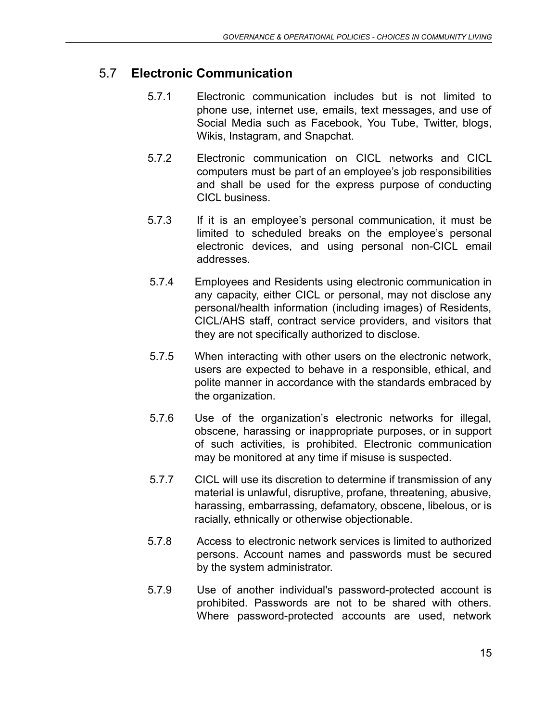# 5.7 **Electronic Communication**

- 5.7.1 Electronic communication includes but is not limited to phone use, internet use, emails, text messages, and use of Social Media such as Facebook, You Tube, Twitter, blogs, Wikis, Instagram, and Snapchat.
- 5.7.2 Electronic communication on CICL networks and CICL computers must be part of an employee's job responsibilities and shall be used for the express purpose of conducting CICL business
- 5.7.3 If it is an employee's personal communication, it must be limited to scheduled breaks on the employee's personal electronic devices, and using personal non-CICL email addresses.
- 5.7.4 Employees and Residents using electronic communication in any capacity, either CICL or personal, may not disclose any personal/health information (including images) of Residents, CICL/AHS staff, contract service providers, and visitors that they are not specifically authorized to disclose.
- 5.7.5 When interacting with other users on the electronic network, users are expected to behave in a responsible, ethical, and polite manner in accordance with the standards embraced by the organization.
- 5.7.6 Use of the organization's electronic networks for illegal, obscene, harassing or inappropriate purposes, or in support of such activities, is prohibited. Electronic communication may be monitored at any time if misuse is suspected.
- 5.7.7 CICL will use its discretion to determine if transmission of any material is unlawful, disruptive, profane, threatening, abusive, harassing, embarrassing, defamatory, obscene, libelous, or is racially, ethnically or otherwise objectionable.
- 5.7.8 Access to electronic network services is limited to authorized persons. Account names and passwords must be secured by the system administrator.
- 5.7.9 Use of another individual's password-protected account is prohibited. Passwords are not to be shared with others. Where password-protected accounts are used, network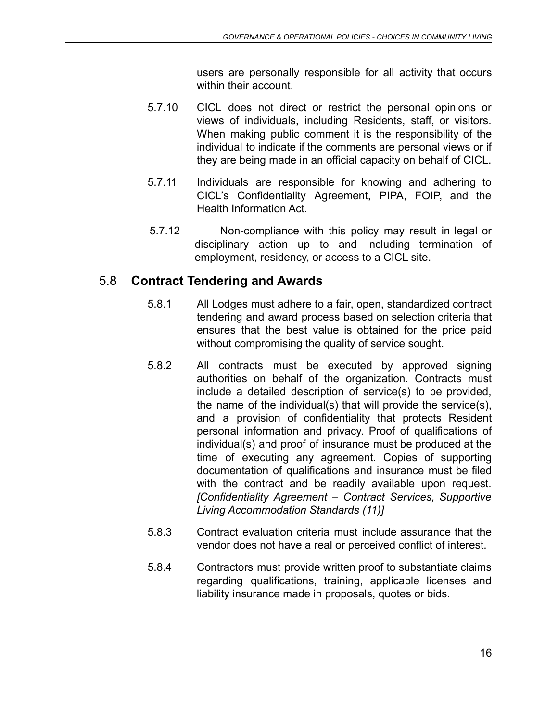users are personally responsible for all activity that occurs within their account.

- 5.7.10 CICL does not direct or restrict the personal opinions or views of individuals, including Residents, staff, or visitors. When making public comment it is the responsibility of the individual to indicate if the comments are personal views or if they are being made in an official capacity on behalf of CICL.
- 5.7.11 Individuals are responsible for knowing and adhering to CICL's Confidentiality Agreement, PIPA, FOIP, and the Health Information Act.
- 5.7.12 Non-compliance with this policy may result in legal or disciplinary action up to and including termination of employment, residency, or access to a CICL site.

#### <span id="page-15-0"></span>5.8 **Contract Tendering and Awards**

- 5.8.1 All Lodges must adhere to a fair, open, standardized contract tendering and award process based on selection criteria that ensures that the best value is obtained for the price paid without compromising the quality of service sought.
- 5.8.2 All contracts must be executed by approved signing authorities on behalf of the organization. Contracts must include a detailed description of service(s) to be provided, the name of the individual(s) that will provide the service(s), and a provision of confidentiality that protects Resident personal information and privacy. Proof of qualifications of individual(s) and proof of insurance must be produced at the time of executing any agreement. Copies of supporting documentation of qualifications and insurance must be filed with the contract and be readily available upon request. *[Confidentiality Agreement – Contract Services, Supportive Living Accommodation Standards (11)]*
- 5.8.3 Contract evaluation criteria must include assurance that the vendor does not have a real or perceived conflict of interest.
- 5.8.4 Contractors must provide written proof to substantiate claims regarding qualifications, training, applicable licenses and liability insurance made in proposals, quotes or bids.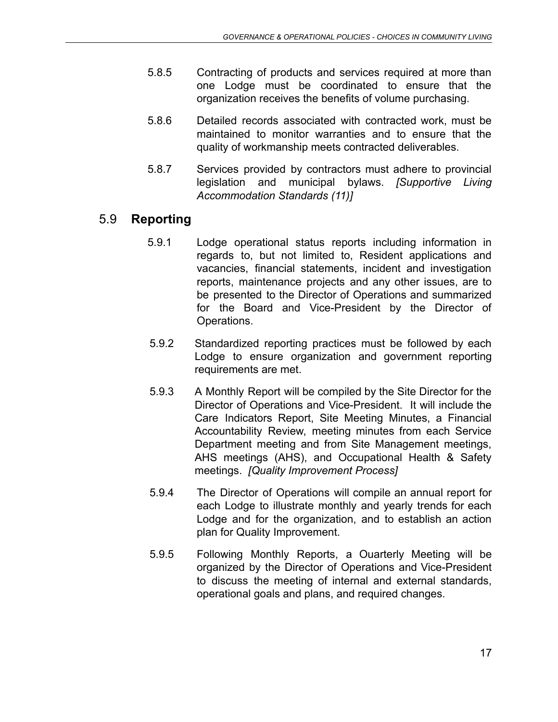- 5.8.5 Contracting of products and services required at more than one Lodge must be coordinated to ensure that the organization receives the benefits of volume purchasing.
- 5.8.6 Detailed records associated with contracted work, must be maintained to monitor warranties and to ensure that the quality of workmanship meets contracted deliverables.
- 5.8.7 Services provided by contractors must adhere to provincial legislation and municipal bylaws. *[Supportive Living Accommodation Standards (11)]*

# <span id="page-16-0"></span>5.9 **Reporting**

- 5.9.1 Lodge operational status reports including information in regards to, but not limited to, Resident applications and vacancies, financial statements, incident and investigation reports, maintenance projects and any other issues, are to be presented to the Director of Operations and summarized for the Board and Vice-President by the Director of Operations.
- 5.9.2 Standardized reporting practices must be followed by each Lodge to ensure organization and government reporting requirements are met.
- 5.9.3 A Monthly Report will be compiled by the Site Director for the Director of Operations and Vice-President. It will include the Care Indicators Report, Site Meeting Minutes, a Financial Accountability Review, meeting minutes from each Service Department meeting and from Site Management meetings, AHS meetings (AHS), and Occupational Health & Safety meetings. *[Quality Improvement Process]*
- 5.9.4 The Director of Operations will compile an annual report for each Lodge to illustrate monthly and yearly trends for each Lodge and for the organization, and to establish an action plan for Quality Improvement.
- <span id="page-16-1"></span>5.9.5 Following Monthly Reports, a Ouarterly Meeting will be organized by the Director of Operations and Vice-President to discuss the meeting of internal and external standards, operational goals and plans, and required changes.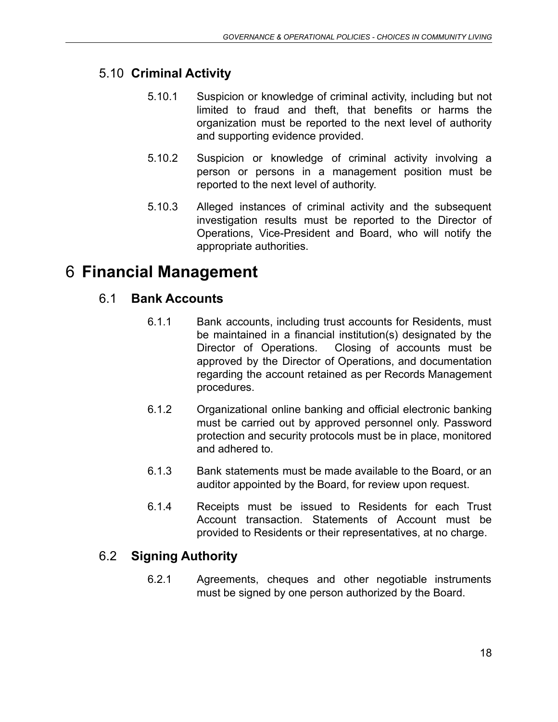# 5.10 **Criminal Activity**

- 5.10.1 Suspicion or knowledge of criminal activity, including but not limited to fraud and theft, that benefits or harms the organization must be reported to the next level of authority and supporting evidence provided.
- 5.10.2 Suspicion or knowledge of criminal activity involving a person or persons in a management position must be reported to the next level of authority.
- 5.10.3 Alleged instances of criminal activity and the subsequent investigation results must be reported to the Director of Operations, Vice-President and Board, who will notify the appropriate authorities.

# <span id="page-17-1"></span><span id="page-17-0"></span>6 **Financial Management**

# 6.1 **Bank Accounts**

- 6.1.1 Bank accounts, including trust accounts for Residents, must be maintained in a financial institution(s) designated by the Director of Operations. Closing of accounts must be approved by the Director of Operations, and documentation regarding the account retained as per Records Management procedures.
- 6.1.2 Organizational online banking and official electronic banking must be carried out by approved personnel only. Password protection and security protocols must be in place, monitored and adhered to.
- 6.1.3 Bank statements must be made available to the Board, or an auditor appointed by the Board, for review upon request.
- 6.1.4 Receipts must be issued to Residents for each Trust Account transaction. Statements of Account must be provided to Residents or their representatives, at no charge.

# <span id="page-17-2"></span>6.2 **Signing Authority**

6.2.1 Agreements, cheques and other negotiable instruments must be signed by one person authorized by the Board.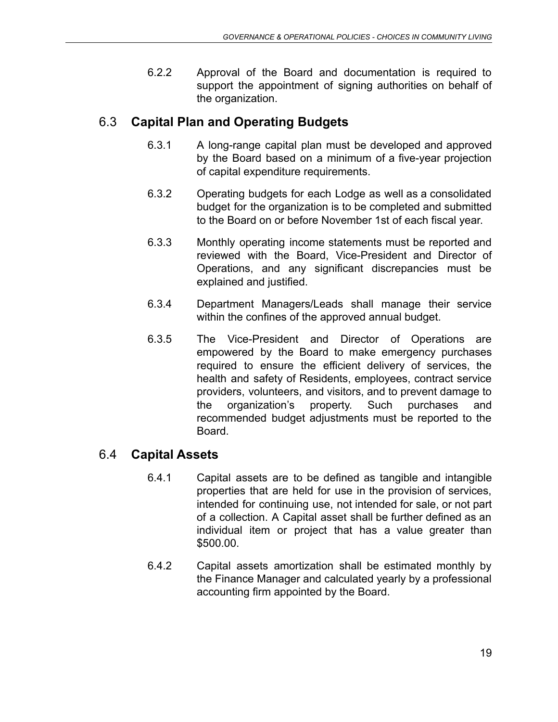6.2.2 Approval of the Board and documentation is required to support the appointment of signing authorities on behalf of the organization.

# <span id="page-18-0"></span>6.3 **Capital Plan and Operating Budgets**

- 6.3.1 A long-range capital plan must be developed and approved by the Board based on a minimum of a five-year projection of capital expenditure requirements.
- 6.3.2 Operating budgets for each Lodge as well as a consolidated budget for the organization is to be completed and submitted to the Board on or before November 1st of each fiscal year.
- 6.3.3 Monthly operating income statements must be reported and reviewed with the Board, Vice-President and Director of Operations, and any significant discrepancies must be explained and justified.
- 6.3.4 Department Managers/Leads shall manage their service within the confines of the approved annual budget.
- 6.3.5 The Vice-President and Director of Operations are empowered by the Board to make emergency purchases required to ensure the efficient delivery of services, the health and safety of Residents, employees, contract service providers, volunteers, and visitors, and to prevent damage to the organization's property. Such purchases and recommended budget adjustments must be reported to the Board.

# <span id="page-18-1"></span>6.4 **Capital Assets**

- 6.4.1 Capital assets are to be defined as tangible and intangible properties that are held for use in the provision of services, intended for continuing use, not intended for sale, or not part of a collection. A Capital asset shall be further defined as an individual item or project that has a value greater than \$500.00.
- <span id="page-18-2"></span>6.4.2 Capital assets amortization shall be estimated monthly by the Finance Manager and calculated yearly by a professional accounting firm appointed by the Board.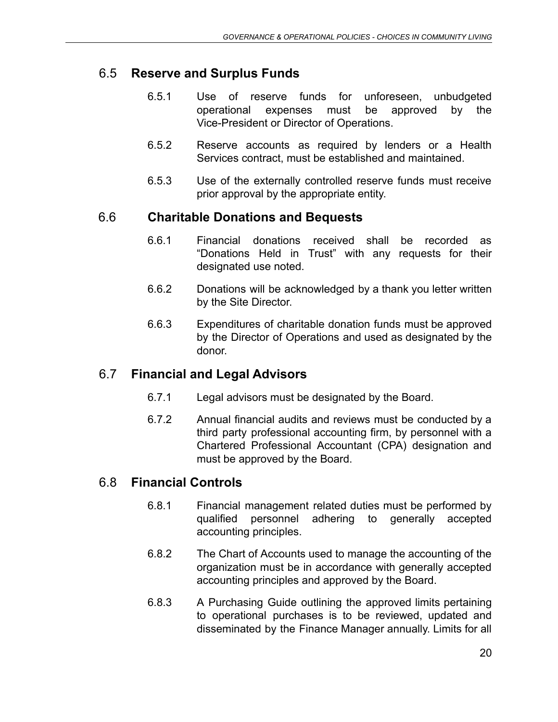# 6.5 **Reserve and Surplus Funds**

- 6.5.1 Use of reserve funds for unforeseen, unbudgeted operational expenses must be approved by the Vice-President or Director of Operations.
- 6.5.2 Reserve accounts as required by lenders or a Health Services contract, must be established and maintained.
- 6.5.3 Use of the externally controlled reserve funds must receive prior approval by the appropriate entity.

#### 6.6 **Charitable Donations and Bequests**

- 6.6.1 Financial donations received shall be recorded as "Donations Held in Trust" with any requests for their designated use noted.
- 6.6.2 Donations will be acknowledged by a thank you letter written by the Site Director.
- 6.6.3 Expenditures of charitable donation funds must be approved by the Director of Operations and used as designated by the donor.

#### 6.7 **Financial and Legal Advisors**

- 6.7.1 Legal advisors must be designated by the Board.
- 6.7.2 Annual financial audits and reviews must be conducted by a third party professional accounting firm, by personnel with a Chartered Professional Accountant (CPA) designation and must be approved by the Board.

# 6.8 **Financial Controls**

- 6.8.1 Financial management related duties must be performed by qualified personnel adhering to generally accepted accounting principles.
- 6.8.2 The Chart of Accounts used to manage the accounting of the organization must be in accordance with generally accepted accounting principles and approved by the Board.
- 6.8.3 A Purchasing Guide outlining the approved limits pertaining to operational purchases is to be reviewed, updated and disseminated by the Finance Manager annually. Limits for all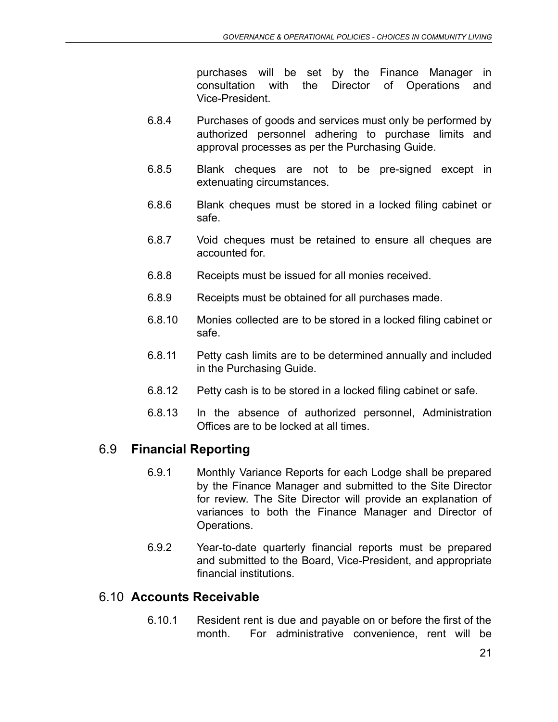purchases will be set by the Finance Manager in consultation with the Director of Operations and Vice-President.

- 6.8.4 Purchases of goods and services must only be performed by authorized personnel adhering to purchase limits and approval processes as per the Purchasing Guide.
- 6.8.5 Blank cheques are not to be pre-signed except in extenuating circumstances.
- 6.8.6 Blank cheques must be stored in a locked filing cabinet or safe.
- 6.8.7 Void cheques must be retained to ensure all cheques are accounted for.
- 6.8.8 Receipts must be issued for all monies received.
- 6.8.9 Receipts must be obtained for all purchases made.
- 6.8.10 Monies collected are to be stored in a locked filing cabinet or safe.
- 6.8.11 Petty cash limits are to be determined annually and included in the Purchasing Guide.
- 6.8.12 Petty cash is to be stored in a locked filing cabinet or safe.
- 6.8.13 In the absence of authorized personnel, Administration Offices are to be locked at all times.

# <span id="page-20-0"></span>6.9 **Financial Reporting**

- 6.9.1 Monthly Variance Reports for each Lodge shall be prepared by the Finance Manager and submitted to the Site Director for review. The Site Director will provide an explanation of variances to both the Finance Manager and Director of Operations.
- 6.9.2 Year-to-date quarterly financial reports must be prepared and submitted to the Board, Vice-President, and appropriate financial institutions.

#### 6.10 **Accounts Receivable**

6.10.1 Resident rent is due and payable on or before the first of the month. For administrative convenience, rent will be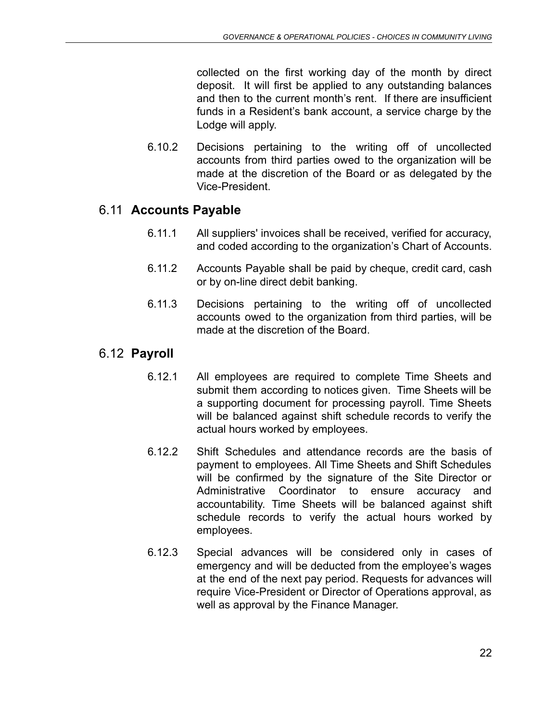collected on the first working day of the month by direct deposit. It will first be applied to any outstanding balances and then to the current month's rent. If there are insufficient funds in a Resident's bank account, a service charge by the Lodge will apply.

6.10.2 Decisions pertaining to the writing off of uncollected accounts from third parties owed to the organization will be made at the discretion of the Board or as delegated by the Vice-President.

#### 6.11 **Accounts Payable**

- 6.11.1 All suppliers' invoices shall be received, verified for accuracy, and coded according to the organization's Chart of Accounts.
- 6.11.2 Accounts Payable shall be paid by cheque, credit card, cash or by on-line direct debit banking.
- 6.11.3 Decisions pertaining to the writing off of uncollected accounts owed to the organization from third parties, will be made at the discretion of the Board.

#### 6.12 **Payroll**

- 6.12.1 All employees are required to complete Time Sheets and submit them according to notices given. Time Sheets will be a supporting document for processing payroll. Time Sheets will be balanced against shift schedule records to verify the actual hours worked by employees.
- 6.12.2 Shift Schedules and attendance records are the basis of payment to employees. All Time Sheets and Shift Schedules will be confirmed by the signature of the Site Director or Administrative Coordinator to ensure accuracy and accountability. Time Sheets will be balanced against shift schedule records to verify the actual hours worked by employees.
- 6.12.3 Special advances will be considered only in cases of emergency and will be deducted from the employee's wages at the end of the next pay period. Requests for advances will require Vice-President or Director of Operations approval, as well as approval by the Finance Manager.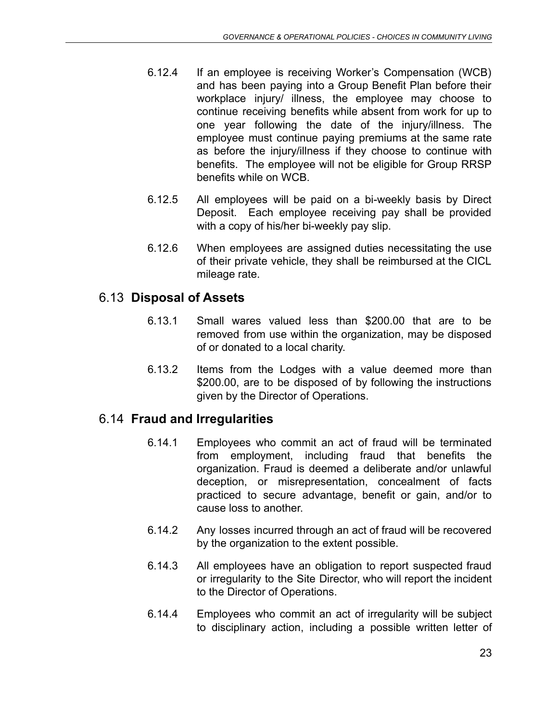- 6.12.4 If an employee is receiving Worker's Compensation (WCB) and has been paying into a Group Benefit Plan before their workplace injury/ illness, the employee may choose to continue receiving benefits while absent from work for up to one year following the date of the injury/illness. The employee must continue paying premiums at the same rate as before the injury/illness if they choose to continue with benefits. The employee will not be eligible for Group RRSP benefits while on WCB.
- 6.12.5 All employees will be paid on a bi-weekly basis by Direct Deposit. Each employee receiving pay shall be provided with a copy of his/her bi-weekly pay slip.
- 6.12.6 When employees are assigned duties necessitating the use of their private vehicle, they shall be reimbursed at the CICL mileage rate.

# 6.13 **Disposal of Assets**

- 6.13.1 Small wares valued less than \$200.00 that are to be removed from use within the organization, may be disposed of or donated to a local charity.
- 6.13.2 Items from the Lodges with a value deemed more than \$200.00, are to be disposed of by following the instructions given by the Director of Operations.

# 6.14 **Fraud and Irregularities**

- 6.14.1 Employees who commit an act of fraud will be terminated from employment, including fraud that benefits the organization. Fraud is deemed a deliberate and/or unlawful deception, or misrepresentation, concealment of facts practiced to secure advantage, benefit or gain, and/or to cause loss to another.
- 6.14.2 Any losses incurred through an act of fraud will be recovered by the organization to the extent possible.
- 6.14.3 All employees have an obligation to report suspected fraud or irregularity to the Site Director, who will report the incident to the Director of Operations.
- 6.14.4 Employees who commit an act of irregularity will be subject to disciplinary action, including a possible written letter of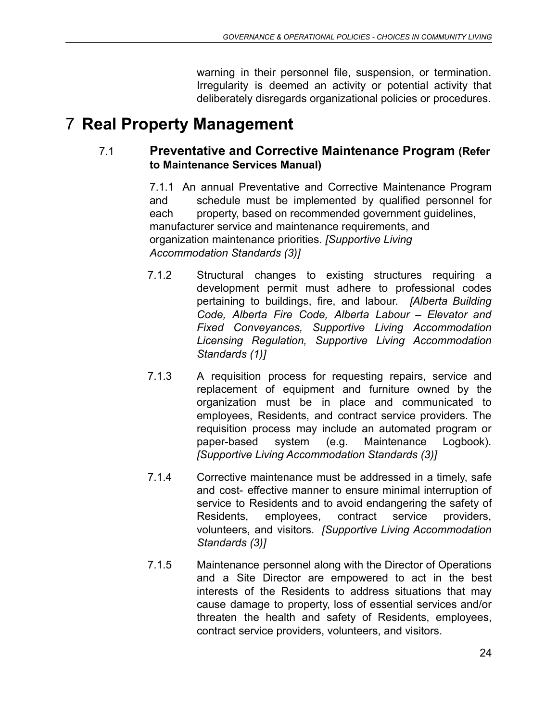warning in their personnel file, suspension, or termination. Irregularity is deemed an activity or potential activity that deliberately disregards organizational policies or procedures.

# <span id="page-23-1"></span><span id="page-23-0"></span>7 **Real Property Management**

#### 7.1 **Preventative and Corrective Maintenance Program (Refer to Maintenance Services Manual)**

7.1.1 An annual Preventative and Corrective Maintenance Program and schedule must be implemented by qualified personnel for each property, based on recommended government guidelines, manufacturer service and maintenance requirements, and organization maintenance priorities. *[Supportive Living Accommodation Standards (3)]*

- 7.1.2 Structural changes to existing structures requiring a development permit must adhere to professional codes pertaining to buildings, fire, and labour. *[Alberta Building Code, Alberta Fire Code, Alberta Labour – Elevator and Fixed Conveyances, Supportive Living Accommodation Licensing Regulation, Supportive Living Accommodation Standards (1)]*
- 7.1.3 A requisition process for requesting repairs, service and replacement of equipment and furniture owned by the organization must be in place and communicated to employees, Residents, and contract service providers. The requisition process may include an automated program or paper-based system (e.g. Maintenance Logbook). *[Supportive Living Accommodation Standards (3)]*
- 7.1.4 Corrective maintenance must be addressed in a timely, safe and cost- effective manner to ensure minimal interruption of service to Residents and to avoid endangering the safety of Residents, employees, contract service providers, volunteers, and visitors. *[Supportive Living Accommodation Standards (3)]*
- 7.1.5 Maintenance personnel along with the Director of Operations and a Site Director are empowered to act in the best interests of the Residents to address situations that may cause damage to property, loss of essential services and/or threaten the health and safety of Residents, employees, contract service providers, volunteers, and visitors.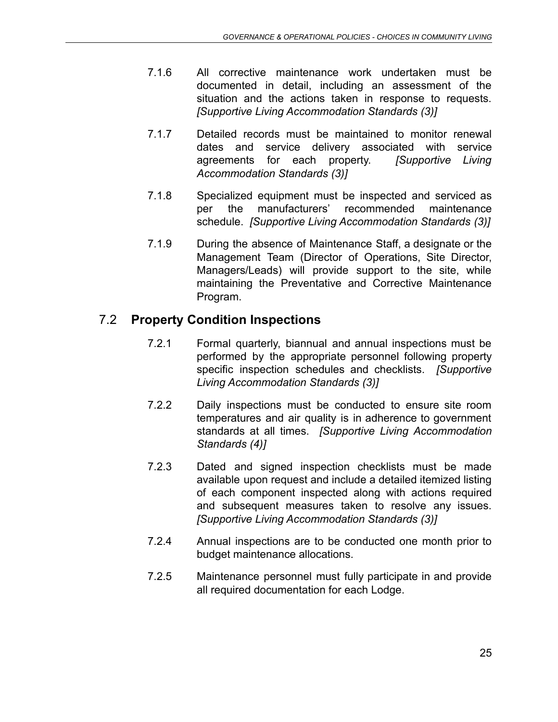- 7.1.6 All corrective maintenance work undertaken must be documented in detail, including an assessment of the situation and the actions taken in response to requests. *[Supportive Living Accommodation Standards (3)]*
- 7.1.7 Detailed records must be maintained to monitor renewal dates and service delivery associated with service agreements for each property. *[Supportive Living Accommodation Standards (3)]*
- 7.1.8 Specialized equipment must be inspected and serviced as per the manufacturers' recommended maintenance schedule. *[Supportive Living Accommodation Standards (3)]*
- 7.1.9 During the absence of Maintenance Staff, a designate or the Management Team (Director of Operations, Site Director, Managers/Leads) will provide support to the site, while maintaining the Preventative and Corrective Maintenance Program.

# <span id="page-24-0"></span>7.2 **Property Condition Inspections**

- 7.2.1 Formal quarterly, biannual and annual inspections must be performed by the appropriate personnel following property specific inspection schedules and checklists. *[Supportive Living Accommodation Standards (3)]*
- 7.2.2 Daily inspections must be conducted to ensure site room temperatures and air quality is in adherence to government standards at all times. *[Supportive Living Accommodation Standards (4)]*
- 7.2.3 Dated and signed inspection checklists must be made available upon request and include a detailed itemized listing of each component inspected along with actions required and subsequent measures taken to resolve any issues. *[Supportive Living Accommodation Standards (3)]*
- 7.2.4 Annual inspections are to be conducted one month prior to budget maintenance allocations.
- <span id="page-24-1"></span>7.2.5 Maintenance personnel must fully participate in and provide all required documentation for each Lodge.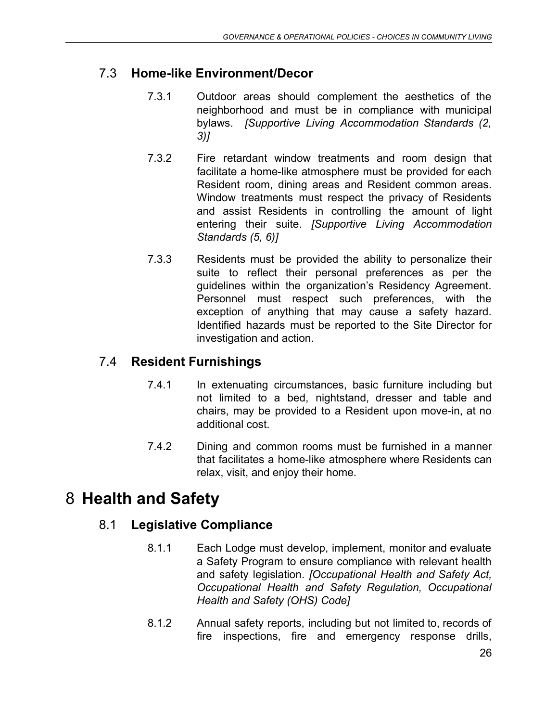# 7.3 **Home-like Environment/Decor**

- 7.3.1 Outdoor areas should complement the aesthetics of the neighborhood and must be in compliance with municipal bylaws. *[Supportive Living Accommodation Standards (2, 3)]*
- 7.3.2 Fire retardant window treatments and room design that facilitate a home-like atmosphere must be provided for each Resident room, dining areas and Resident common areas. Window treatments must respect the privacy of Residents and assist Residents in controlling the amount of light entering their suite. *[Supportive Living Accommodation Standards (5, 6)]*
- 7.3.3 Residents must be provided the ability to personalize their suite to reflect their personal preferences as per the guidelines within the organization's Residency Agreement. Personnel must respect such preferences, with the exception of anything that may cause a safety hazard. Identified hazards must be reported to the Site Director for investigation and action.

# <span id="page-25-0"></span>7.4 **Resident Furnishings**

- 7.4.1 In extenuating circumstances, basic furniture including but not limited to a bed, nightstand, dresser and table and chairs, may be provided to a Resident upon move-in, at no additional cost.
- 7.4.2 Dining and common rooms must be furnished in a manner that facilitates a home-like atmosphere where Residents can relax, visit, and enjoy their home.

# <span id="page-25-2"></span><span id="page-25-1"></span>8 **Health and Safety**

# 8.1 **Legislative Compliance**

- 8.1.1 Each Lodge must develop, implement, monitor and evaluate a Safety Program to ensure compliance with relevant health and safety legislation. *[Occupational Health and Safety Act, Occupational Health and Safety Regulation, Occupational Health and Safety (OHS) Code]*
- 8.1.2 Annual safety reports, including but not limited to, records of fire inspections, fire and emergency response drills,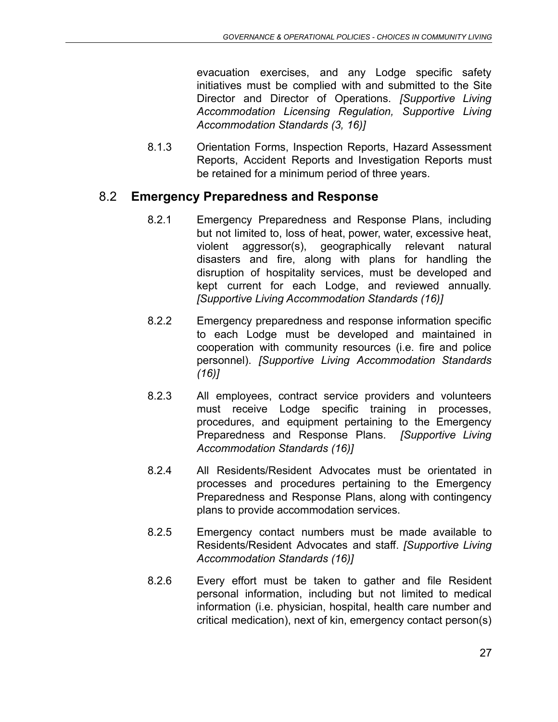evacuation exercises, and any Lodge specific safety initiatives must be complied with and submitted to the Site Director and Director of Operations. *[Supportive Living Accommodation Licensing Regulation, Supportive Living Accommodation Standards (3, 16)]*

8.1.3 Orientation Forms, Inspection Reports, Hazard Assessment Reports, Accident Reports and Investigation Reports must be retained for a minimum period of three years.

#### <span id="page-26-0"></span>8.2 **Emergency Preparedness and Response**

- 8.2.1 Emergency Preparedness and Response Plans, including but not limited to, loss of heat, power, water, excessive heat, violent aggressor(s), geographically relevant natural disasters and fire, along with plans for handling the disruption of hospitality services, must be developed and kept current for each Lodge, and reviewed annually. *[Supportive Living Accommodation Standards (16)]*
- 8.2.2 Emergency preparedness and response information specific to each Lodge must be developed and maintained in cooperation with community resources (i.e. fire and police personnel). *[Supportive Living Accommodation Standards (16)]*
- 8.2.3 All employees, contract service providers and volunteers must receive Lodge specific training in processes, procedures, and equipment pertaining to the Emergency Preparedness and Response Plans. *[Supportive Living Accommodation Standards (16)]*
- 8.2.4 All Residents/Resident Advocates must be orientated in processes and procedures pertaining to the Emergency Preparedness and Response Plans, along with contingency plans to provide accommodation services.
- 8.2.5 Emergency contact numbers must be made available to Residents/Resident Advocates and staff. *[Supportive Living Accommodation Standards (16)]*
- 8.2.6 Every effort must be taken to gather and file Resident personal information, including but not limited to medical information (i.e. physician, hospital, health care number and critical medication), next of kin, emergency contact person(s)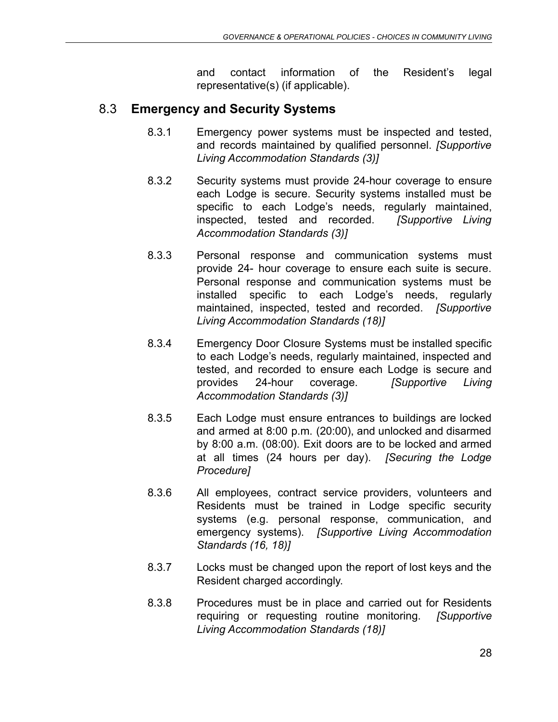and contact information of the Resident's legal representative(s) (if applicable).

# <span id="page-27-0"></span>8.3 **Emergency and Security Systems**

- 8.3.1 Emergency power systems must be inspected and tested, and records maintained by qualified personnel. *[Supportive Living Accommodation Standards (3)]*
- 8.3.2 Security systems must provide 24-hour coverage to ensure each Lodge is secure. Security systems installed must be specific to each Lodge's needs, regularly maintained, inspected, tested and recorded. *[Supportive Living Accommodation Standards (3)]*
- 8.3.3 Personal response and communication systems must provide 24- hour coverage to ensure each suite is secure. Personal response and communication systems must be installed specific to each Lodge's needs, regularly maintained, inspected, tested and recorded. *[Supportive Living Accommodation Standards (18)]*
- 8.3.4 Emergency Door Closure Systems must be installed specific to each Lodge's needs, regularly maintained, inspected and tested, and recorded to ensure each Lodge is secure and provides 24-hour coverage. *[Supportive Living Accommodation Standards (3)]*
- 8.3.5 Each Lodge must ensure entrances to buildings are locked and armed at 8:00 p.m. (20:00), and unlocked and disarmed by 8:00 a.m. (08:00). Exit doors are to be locked and armed at all times (24 hours per day). *[Securing the Lodge Procedure]*
- 8.3.6 All employees, contract service providers, volunteers and Residents must be trained in Lodge specific security systems (e.g. personal response, communication, and emergency systems). *[Supportive Living Accommodation Standards (16, 18)]*
- 8.3.7 Locks must be changed upon the report of lost keys and the Resident charged accordingly.
- 8.3.8 Procedures must be in place and carried out for Residents requiring or requesting routine monitoring. *[Supportive Living Accommodation Standards (18)]*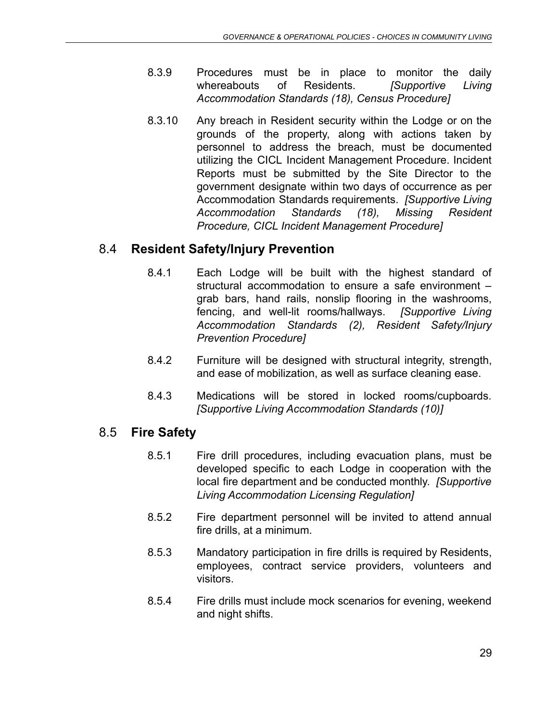- 8.3.9 Procedures must be in place to monitor the daily whereabouts of Residents. *[Supportive Living Accommodation Standards (18), Census Procedure]*
- 8.3.10 Any breach in Resident security within the Lodge or on the grounds of the property, along with actions taken by personnel to address the breach, must be documented utilizing the CICL Incident Management Procedure. Incident Reports must be submitted by the Site Director to the government designate within two days of occurrence as per Accommodation Standards requirements. *[Supportive Living Accommodation Standards (18), Missing Resident Procedure, CICL Incident Management Procedure]*

# 8.4 **Resident Safety/Injury Prevention**

- 8.4.1 Each Lodge will be built with the highest standard of structural accommodation to ensure a safe environment – grab bars, hand rails, nonslip flooring in the washrooms, fencing, and well-lit rooms/hallways. *[Supportive Living Accommodation Standards (2), Resident Safety/Injury Prevention Procedure]*
- 8.4.2 Furniture will be designed with structural integrity, strength, and ease of mobilization, as well as surface cleaning ease.
- 8.4.3 Medications will be stored in locked rooms/cupboards. *[Supportive Living Accommodation Standards (10)]*

# <span id="page-28-0"></span>8.5 **Fire Safety**

- 8.5.1 Fire drill procedures, including evacuation plans, must be developed specific to each Lodge in cooperation with the local fire department and be conducted monthly. *[Supportive Living Accommodation Licensing Regulation]*
- 8.5.2 Fire department personnel will be invited to attend annual fire drills, at a minimum.
- 8.5.3 Mandatory participation in fire drills is required by Residents, employees, contract service providers, volunteers and visitors.
- 8.5.4 Fire drills must include mock scenarios for evening, weekend and night shifts.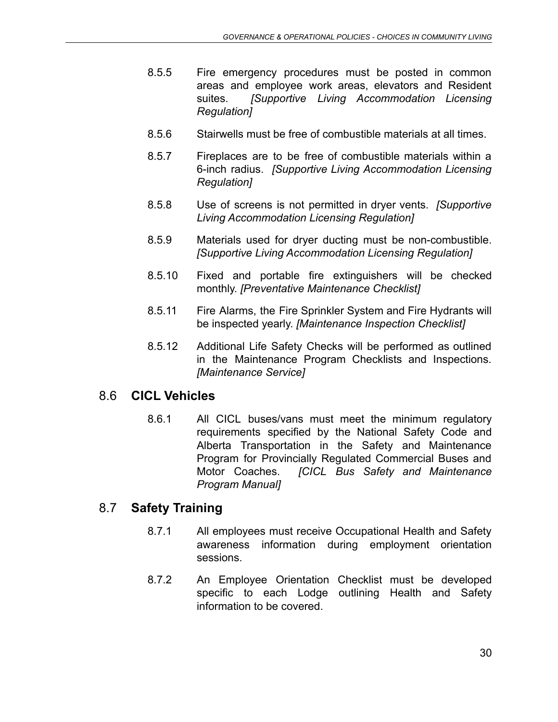- 8.5.5 Fire emergency procedures must be posted in common areas and employee work areas, elevators and Resident suites. *[Supportive Living Accommodation Licensing Regulation]*
- 8.5.6 Stairwells must be free of combustible materials at all times.
- 8.5.7 Fireplaces are to be free of combustible materials within a 6-inch radius. *[Supportive Living Accommodation Licensing Regulation]*
- 8.5.8 Use of screens is not permitted in dryer vents. *[Supportive Living Accommodation Licensing Regulation]*
- 8.5.9 Materials used for dryer ducting must be non-combustible. *[Supportive Living Accommodation Licensing Regulation]*
- 8.5.10 Fixed and portable fire extinguishers will be checked monthly. *[Preventative Maintenance Checklist]*
- 8.5.11 Fire Alarms, the Fire Sprinkler System and Fire Hydrants will be inspected yearly. *[Maintenance Inspection Checklist]*
- 8.5.12 Additional Life Safety Checks will be performed as outlined in the Maintenance Program Checklists and Inspections. *[Maintenance Service]*

#### <span id="page-29-0"></span>8.6 **CICL Vehicles**

8.6.1 All CICL buses/vans must meet the minimum regulatory requirements specified by the National Safety Code and Alberta Transportation in the Safety and Maintenance Program for Provincially Regulated Commercial Buses and Motor Coaches. *[CICL Bus Safety and Maintenance Program Manual]*

# <span id="page-29-1"></span>8.7 **Safety Training**

- 8.7.1 All employees must receive Occupational Health and Safety awareness information during employment orientation sessions.
- 8.7.2 An Employee Orientation Checklist must be developed specific to each Lodge outlining Health and Safety information to be covered.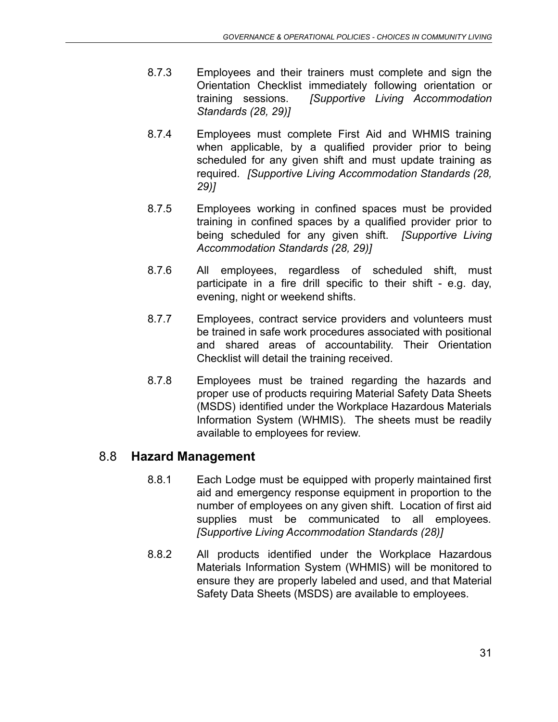- 8.7.3 Employees and their trainers must complete and sign the Orientation Checklist immediately following orientation or training sessions. *[Supportive Living Accommodation Standards (28, 29)]*
- 8.7.4 Employees must complete First Aid and WHMIS training when applicable, by a qualified provider prior to being scheduled for any given shift and must update training as required. *[Supportive Living Accommodation Standards (28, 29)]*
- 8.7.5 Employees working in confined spaces must be provided training in confined spaces by a qualified provider prior to being scheduled for any given shift. *[Supportive Living Accommodation Standards (28, 29)]*
- 8.7.6 All employees, regardless of scheduled shift, must participate in a fire drill specific to their shift - e.g. day, evening, night or weekend shifts.
- 8.7.7 Employees, contract service providers and volunteers must be trained in safe work procedures associated with positional and shared areas of accountability. Their Orientation Checklist will detail the training received.
- 8.7.8 Employees must be trained regarding the hazards and proper use of products requiring Material Safety Data Sheets (MSDS) identified under the Workplace Hazardous Materials Information System (WHMIS). The sheets must be readily available to employees for review.

#### <span id="page-30-0"></span>8.8 **Hazard Management**

- 8.8.1 Each Lodge must be equipped with properly maintained first aid and emergency response equipment in proportion to the number of employees on any given shift. Location of first aid supplies must be communicated to all employees*. [Supportive Living Accommodation Standards (28)]*
- 8.8.2 All products identified under the Workplace Hazardous Materials Information System (WHMIS) will be monitored to ensure they are properly labeled and used, and that Material Safety Data Sheets (MSDS) are available to employees.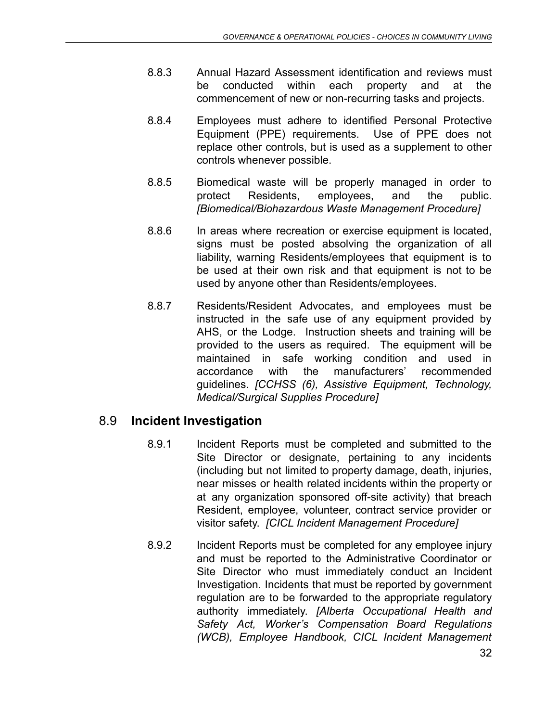- 8.8.3 Annual Hazard Assessment identification and reviews must be conducted within each property and at the commencement of new or non-recurring tasks and projects.
- 8.8.4 Employees must adhere to identified Personal Protective Equipment (PPE) requirements. Use of PPE does not replace other controls, but is used as a supplement to other controls whenever possible.
- 8.8.5 Biomedical waste will be properly managed in order to protect Residents, employees, and the public. *[Biomedical/Biohazardous Waste Management Procedure]*
- 8.8.6 In areas where recreation or exercise equipment is located, signs must be posted absolving the organization of all liability, warning Residents/employees that equipment is to be used at their own risk and that equipment is not to be used by anyone other than Residents/employees.
- 8.8.7 Residents/Resident Advocates, and employees must be instructed in the safe use of any equipment provided by AHS, or the Lodge. Instruction sheets and training will be provided to the users as required. The equipment will be maintained in safe working condition and used in accordance with the manufacturers' recommended guidelines. *[CCHSS (6), Assistive Equipment, Technology, Medical/Surgical Supplies Procedure]*

# <span id="page-31-0"></span>8.9 **Incident Investigation**

- 8.9.1 Incident Reports must be completed and submitted to the Site Director or designate, pertaining to any incidents (including but not limited to property damage, death, injuries, near misses or health related incidents within the property or at any organization sponsored off-site activity) that breach Resident, employee, volunteer, contract service provider or visitor safety. *[CICL Incident Management Procedure]*
- 8.9.2 Incident Reports must be completed for any employee injury and must be reported to the Administrative Coordinator or Site Director who must immediately conduct an Incident Investigation. Incidents that must be reported by government regulation are to be forwarded to the appropriate regulatory authority immediately. *[Alberta Occupational Health and Safety Act, Worker's Compensation Board Regulations (WCB), Employee Handbook, CICL Incident Management*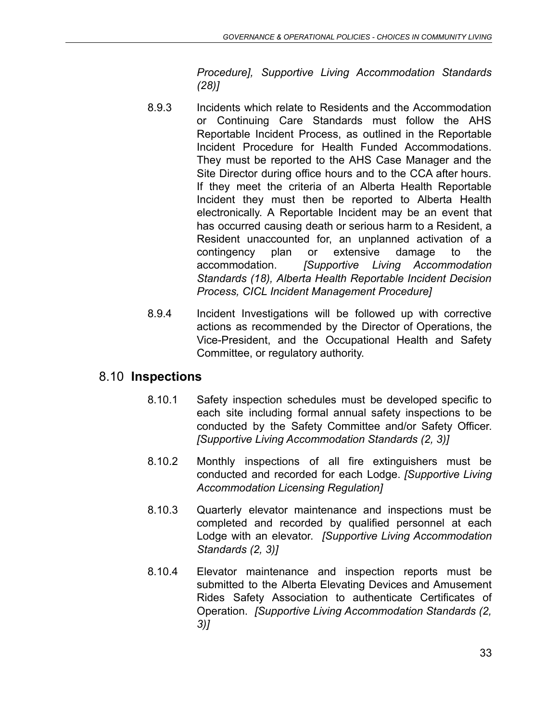*Procedure], Supportive Living Accommodation Standards (28)]*

- 8.9.3 Incidents which relate to Residents and the Accommodation or Continuing Care Standards must follow the AHS Reportable Incident Process, as outlined in the Reportable Incident Procedure for Health Funded Accommodations. They must be reported to the AHS Case Manager and the Site Director during office hours and to the CCA after hours. If they meet the criteria of an Alberta Health Reportable Incident they must then be reported to Alberta Health electronically. A Reportable Incident may be an event that has occurred causing death or serious harm to a Resident, a Resident unaccounted for, an unplanned activation of a contingency plan or extensive damage to the accommodation. *[Supportive Living Accommodation Standards (18), Alberta Health Reportable Incident Decision Process, CICL Incident Management Procedure]*
- 8.9.4 Incident Investigations will be followed up with corrective actions as recommended by the Director of Operations, the Vice-President, and the Occupational Health and Safety Committee, or regulatory authority.

#### <span id="page-32-0"></span>8.10 **Inspections**

- 8.10.1 Safety inspection schedules must be developed specific to each site including formal annual safety inspections to be conducted by the Safety Committee and/or Safety Officer. *[Supportive Living Accommodation Standards (2, 3)]*
- 8.10.2 Monthly inspections of all fire extinguishers must be conducted and recorded for each Lodge. *[Supportive Living Accommodation Licensing Regulation]*
- 8.10.3 Quarterly elevator maintenance and inspections must be completed and recorded by qualified personnel at each Lodge with an elevator. *[Supportive Living Accommodation Standards (2, 3)]*
- 8.10.4 Elevator maintenance and inspection reports must be submitted to the Alberta Elevating Devices and Amusement Rides Safety Association to authenticate Certificates of Operation. *[Supportive Living Accommodation Standards (2, 3)]*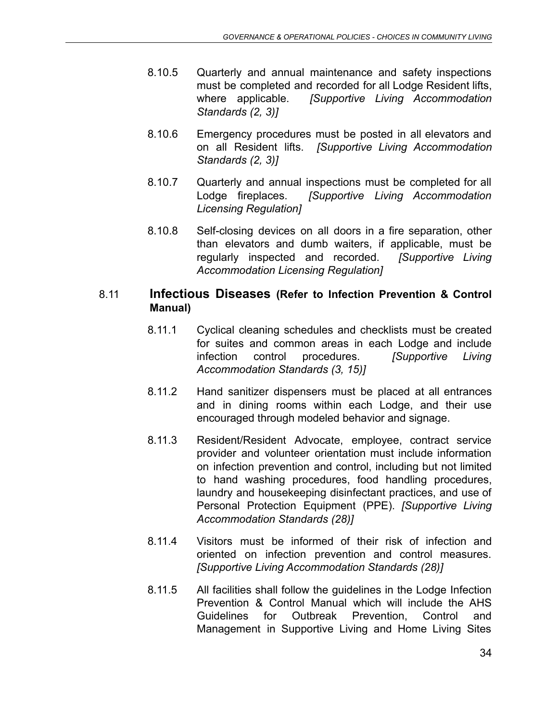- 8.10.5 Quarterly and annual maintenance and safety inspections must be completed and recorded for all Lodge Resident lifts, where applicable. *[Supportive Living Accommodation Standards (2, 3)]*
- 8.10.6 Emergency procedures must be posted in all elevators and on all Resident lifts. *[Supportive Living Accommodation Standards (2, 3)]*
- 8.10.7 Quarterly and annual inspections must be completed for all Lodge fireplaces. *[Supportive Living Accommodation Licensing Regulation]*
- 8.10.8 Self-closing devices on all doors in a fire separation, other than elevators and dumb waiters, if applicable, must be regularly inspected and recorded. *[Supportive Living Accommodation Licensing Regulation]*

#### <span id="page-33-0"></span>8.11 **Infectious Diseases (Refer to Infection Prevention & Control Manual)**

- 8.11.1 Cyclical cleaning schedules and checklists must be created for suites and common areas in each Lodge and include infection control procedures. *[Supportive Living Accommodation Standards (3, 15)]*
- 8.11.2 Hand sanitizer dispensers must be placed at all entrances and in dining rooms within each Lodge, and their use encouraged through modeled behavior and signage.
- 8.11.3 Resident/Resident Advocate, employee, contract service provider and volunteer orientation must include information on infection prevention and control, including but not limited to hand washing procedures, food handling procedures, laundry and housekeeping disinfectant practices, and use of Personal Protection Equipment (PPE). *[Supportive Living Accommodation Standards (28)]*
- 8.11.4 Visitors must be informed of their risk of infection and oriented on infection prevention and control measures. *[Supportive Living Accommodation Standards (28)]*
- 8.11.5 All facilities shall follow the guidelines in the Lodge Infection Prevention & Control Manual which will include the AHS Guidelines for Outbreak Prevention, Control and Management in Supportive Living and Home Living Sites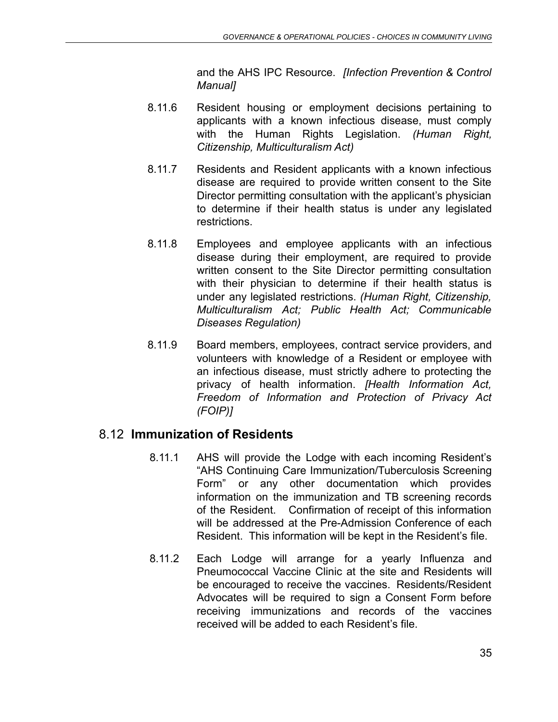and the AHS IPC Resource. *[Infection Prevention & Control Manual]*

- 8.11.6 Resident housing or employment decisions pertaining to applicants with a known infectious disease, must comply with the Human Rights Legislation. *(Human Right, Citizenship, Multiculturalism Act)*
- 8.11.7 Residents and Resident applicants with a known infectious disease are required to provide written consent to the Site Director permitting consultation with the applicant's physician to determine if their health status is under any legislated restrictions.
- 8.11.8 Employees and employee applicants with an infectious disease during their employment, are required to provide written consent to the Site Director permitting consultation with their physician to determine if their health status is under any legislated restrictions. *(Human Right, Citizenship, Multiculturalism Act; Public Health Act; Communicable Diseases Regulation)*
- 8.11.9 Board members, employees, contract service providers, and volunteers with knowledge of a Resident or employee with an infectious disease, must strictly adhere to protecting the privacy of health information. *[Health Information Act, Freedom of Information and Protection of Privacy Act (FOIP)]*

# <span id="page-34-0"></span>8.12 **Immunization of Residents**

- 8.11.1 AHS will provide the Lodge with each incoming Resident's "AHS Continuing Care Immunization/Tuberculosis Screening Form" or any other documentation which provides information on the immunization and TB screening records of the Resident. Confirmation of receipt of this information will be addressed at the Pre-Admission Conference of each Resident. This information will be kept in the Resident's file.
- 8.11.2 Each Lodge will arrange for a yearly Influenza and Pneumococcal Vaccine Clinic at the site and Residents will be encouraged to receive the vaccines. Residents/Resident Advocates will be required to sign a Consent Form before receiving immunizations and records of the vaccines received will be added to each Resident's file.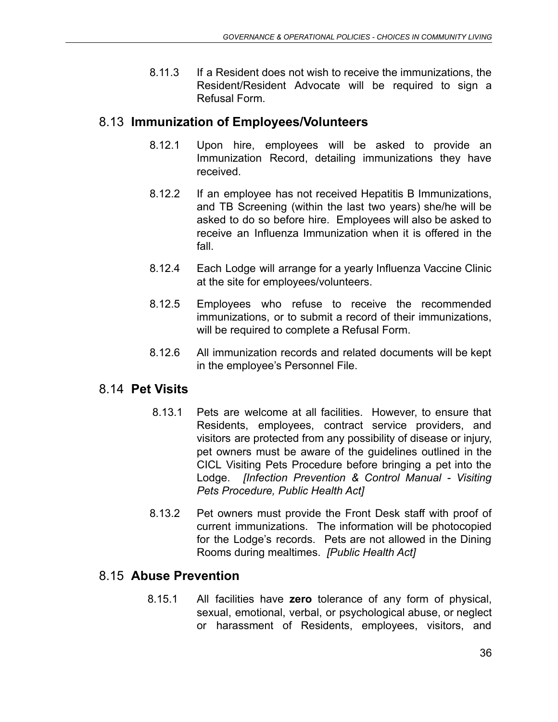8.11.3 If a Resident does not wish to receive the immunizations, the Resident/Resident Advocate will be required to sign a Refusal Form.

#### <span id="page-35-0"></span>8.13 **Immunization of Employees/Volunteers**

- 8.12.1 Upon hire, employees will be asked to provide an Immunization Record, detailing immunizations they have received.
- 8.12.2 If an employee has not received Hepatitis B Immunizations, and TB Screening (within the last two years) she/he will be asked to do so before hire. Employees will also be asked to receive an Influenza Immunization when it is offered in the fall.
- 8.12.4 Each Lodge will arrange for a yearly Influenza Vaccine Clinic at the site for employees/volunteers.
- 8.12.5 Employees who refuse to receive the recommended immunizations, or to submit a record of their immunizations, will be required to complete a Refusal Form.
- 8.12.6 All immunization records and related documents will be kept in the employee's Personnel File.

#### <span id="page-35-1"></span>8.14 **Pet Visits**

- 8.13.1 Pets are welcome at all facilities. However, to ensure that Residents, employees, contract service providers, and visitors are protected from any possibility of disease or injury, pet owners must be aware of the guidelines outlined in the CICL Visiting Pets Procedure before bringing a pet into the Lodge. *[Infection Prevention & Control Manual - Visiting Pets Procedure, Public Health Act]*
- 8.13.2 Pet owners must provide the Front Desk staff with proof of current immunizations. The information will be photocopied for the Lodge's records. Pets are not allowed in the Dining Rooms during mealtimes. *[Public Health Act]*

#### <span id="page-35-2"></span>8.15 **Abuse Prevention**

8.15.1 All facilities have **zero** tolerance of any form of physical, sexual, emotional, verbal, or psychological abuse, or neglect or harassment of Residents, employees, visitors, and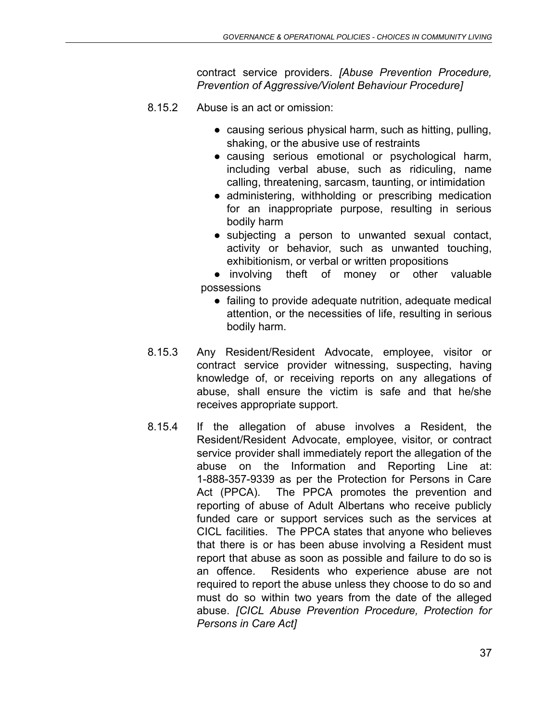contract service providers. *[Abuse Prevention Procedure, Prevention of Aggressive/Violent Behaviour Procedure]*

- 8.15.2 Abuse is an act or omission:
	- causing serious physical harm, such as hitting, pulling, shaking, or the abusive use of restraints
	- causing serious emotional or psychological harm, including verbal abuse, such as ridiculing, name calling, threatening, sarcasm, taunting, or intimidation
	- administering, withholding or prescribing medication for an inappropriate purpose, resulting in serious bodily harm
	- subjecting a person to unwanted sexual contact, activity or behavior, such as unwanted touching, exhibitionism, or verbal or written propositions

● involving theft of money or other valuable possessions

- failing to provide adequate nutrition, adequate medical attention, or the necessities of life, resulting in serious bodily harm.
- 8.15.3 Any Resident/Resident Advocate, employee, visitor or contract service provider witnessing, suspecting, having knowledge of, or receiving reports on any allegations of abuse, shall ensure the victim is safe and that he/she receives appropriate support.
- 8.15.4 If the allegation of abuse involves a Resident, the Resident/Resident Advocate, employee, visitor, or contract service provider shall immediately report the allegation of the abuse on the Information and Reporting Line at: 1-888-357-9339 as per the Protection for Persons in Care Act (PPCA). The PPCA promotes the prevention and reporting of abuse of Adult Albertans who receive publicly funded care or support services such as the services at CICL facilities. The PPCA states that anyone who believes that there is or has been abuse involving a Resident must report that abuse as soon as possible and failure to do so is an offence. Residents who experience abuse are not required to report the abuse unless they choose to do so and must do so within two years from the date of the alleged abuse. *[CICL Abuse Prevention Procedure, Protection for Persons in Care Act]*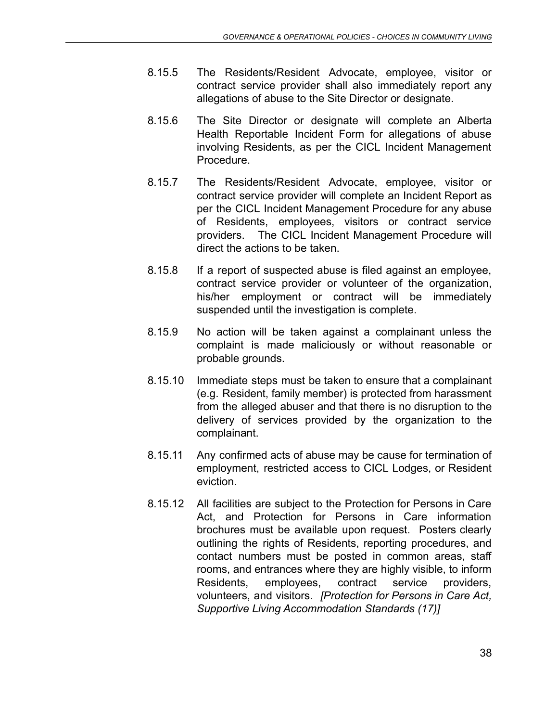- 8.15.5 The Residents/Resident Advocate, employee, visitor or contract service provider shall also immediately report any allegations of abuse to the Site Director or designate.
- 8.15.6 The Site Director or designate will complete an Alberta Health Reportable Incident Form for allegations of abuse involving Residents, as per the CICL Incident Management Procedure.
- 8.15.7 The Residents/Resident Advocate, employee, visitor or contract service provider will complete an Incident Report as per the CICL Incident Management Procedure for any abuse of Residents, employees, visitors or contract service providers. The CICL Incident Management Procedure will direct the actions to be taken.
- 8.15.8 If a report of suspected abuse is filed against an employee, contract service provider or volunteer of the organization, his/her employment or contract will be immediately suspended until the investigation is complete.
- 8.15.9 No action will be taken against a complainant unless the complaint is made maliciously or without reasonable or probable grounds.
- 8.15.10 Immediate steps must be taken to ensure that a complainant (e.g. Resident, family member) is protected from harassment from the alleged abuser and that there is no disruption to the delivery of services provided by the organization to the complainant.
- 8.15.11 Any confirmed acts of abuse may be cause for termination of employment, restricted access to CICL Lodges, or Resident eviction.
- 8.15.12 All facilities are subject to the Protection for Persons in Care Act, and Protection for Persons in Care information brochures must be available upon request. Posters clearly outlining the rights of Residents, reporting procedures, and contact numbers must be posted in common areas, staff rooms, and entrances where they are highly visible, to inform Residents, employees, contract service providers, volunteers, and visitors. *[Protection for Persons in Care Act, Supportive Living Accommodation Standards (17)]*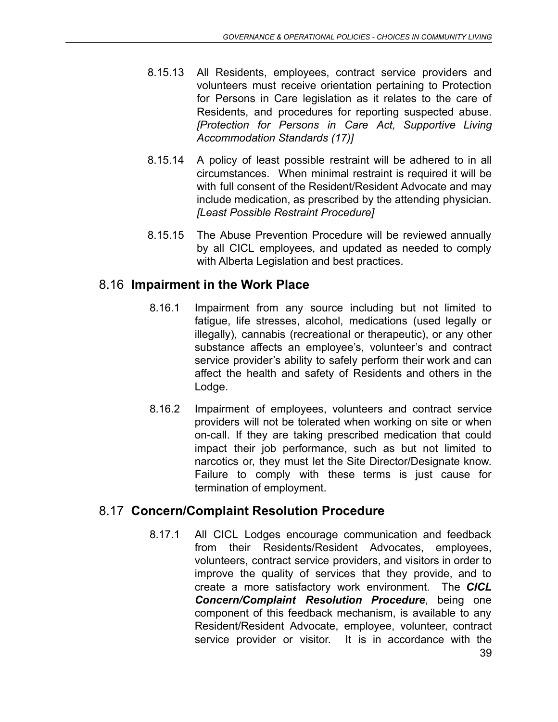- 8.15.13 All Residents, employees, contract service providers and volunteers must receive orientation pertaining to Protection for Persons in Care legislation as it relates to the care of Residents, and procedures for reporting suspected abuse. *[Protection for Persons in Care Act, Supportive Living Accommodation Standards (17)]*
- 8.15.14 A policy of least possible restraint will be adhered to in all circumstances. When minimal restraint is required it will be with full consent of the Resident/Resident Advocate and may include medication, as prescribed by the attending physician. *[Least Possible Restraint Procedure]*
- 8.15.15 The Abuse Prevention Procedure will be reviewed annually by all CICL employees, and updated as needed to comply with Alberta Legislation and best practices.

# 8.16 **Impairment in the Work Place**

- 8.16.1 Impairment from any source including but not limited to fatigue, life stresses, alcohol, medications (used legally or illegally), cannabis (recreational or therapeutic), or any other substance affects an employee's, volunteer's and contract service provider's ability to safely perform their work and can affect the health and safety of Residents and others in the Lodge.
- 8.16.2 Impairment of employees, volunteers and contract service providers will not be tolerated when working on site or when on-call. If they are taking prescribed medication that could impact their job performance, such as but not limited to narcotics or, they must let the Site Director/Designate know. Failure to comply with these terms is just cause for termination of employment.

# 8.17 **Concern/Complaint Resolution Procedure**

8.17.1 All CICL Lodges encourage communication and feedback from their Residents/Resident Advocates, employees, volunteers, contract service providers, and visitors in order to improve the quality of services that they provide, and to create a more satisfactory work environment. The *CICL Concern/Complaint Resolution Procedure*, being one component of this feedback mechanism, is available to any Resident/Resident Advocate, employee, volunteer, contract service provider or visitor. It is in accordance with the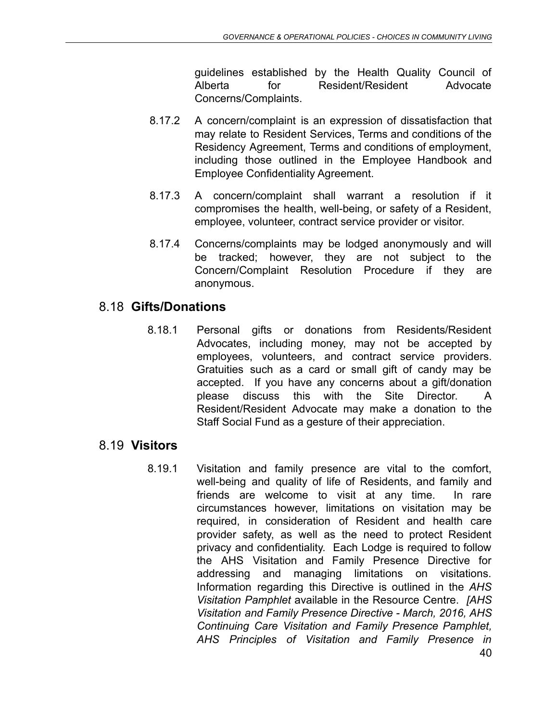guidelines established by the Health Quality Council of Alberta for Resident/Resident Advocate Concerns/Complaints.

- 8.17.2 A concern/complaint is an expression of dissatisfaction that may relate to Resident Services, Terms and conditions of the Residency Agreement, Terms and conditions of employment, including those outlined in the Employee Handbook and Employee Confidentiality Agreement.
- 8.17.3 A concern/complaint shall warrant a resolution if it compromises the health, well-being, or safety of a Resident, employee, volunteer, contract service provider or visitor.
- 8.17.4 Concerns/complaints may be lodged anonymously and will be tracked; however, they are not subject to the Concern/Complaint Resolution Procedure if they are anonymous.

# 8.18 **Gifts/Donations**

8.18.1 Personal gifts or donations from Residents/Resident Advocates, including money, may not be accepted by employees, volunteers, and contract service providers. Gratuities such as a card or small gift of candy may be accepted. If you have any concerns about a gift/donation please discuss this with the Site Director. A Resident/Resident Advocate may make a donation to the Staff Social Fund as a gesture of their appreciation.

#### 8.19 **Visitors**

8.19.1 Visitation and family presence are vital to the comfort, well-being and quality of life of Residents, and family and friends are welcome to visit at any time. In rare circumstances however, limitations on visitation may be required, in consideration of Resident and health care provider safety, as well as the need to protect Resident privacy and confidentiality. Each Lodge is required to follow the AHS Visitation and Family Presence Directive for addressing and managing limitations on visitations. Information regarding this Directive is outlined in the *AHS Visitation Pamphlet* available in the Resource Centre. *[AHS Visitation and Family Presence Directive - March, 2016, AHS Continuing Care Visitation and Family Presence Pamphlet, AHS Principles of Visitation and Family Presence in*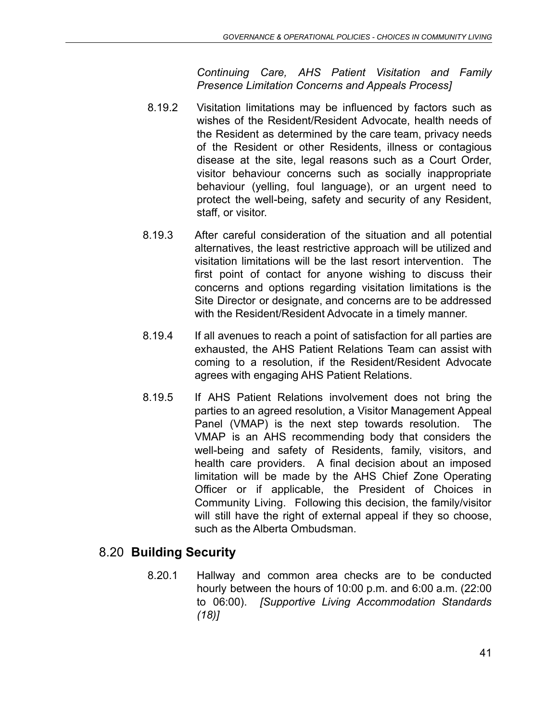*Continuing Care, AHS Patient Visitation and Family Presence Limitation Concerns and Appeals Process]*

- 8.19.2 Visitation limitations may be influenced by factors such as wishes of the Resident/Resident Advocate, health needs of the Resident as determined by the care team, privacy needs of the Resident or other Residents, illness or contagious disease at the site, legal reasons such as a Court Order, visitor behaviour concerns such as socially inappropriate behaviour (yelling, foul language), or an urgent need to protect the well-being, safety and security of any Resident, staff, or visitor.
- 8.19.3 After careful consideration of the situation and all potential alternatives, the least restrictive approach will be utilized and visitation limitations will be the last resort intervention. The first point of contact for anyone wishing to discuss their concerns and options regarding visitation limitations is the Site Director or designate, and concerns are to be addressed with the Resident/Resident Advocate in a timely manner.
- 8.19.4 If all avenues to reach a point of satisfaction for all parties are exhausted, the AHS Patient Relations Team can assist with coming to a resolution, if the Resident/Resident Advocate agrees with engaging AHS Patient Relations.
- 8.19.5 If AHS Patient Relations involvement does not bring the parties to an agreed resolution, a Visitor Management Appeal Panel (VMAP) is the next step towards resolution. The VMAP is an AHS recommending body that considers the well-being and safety of Residents, family, visitors, and health care providers. A final decision about an imposed limitation will be made by the AHS Chief Zone Operating Officer or if applicable, the President of Choices in Community Living. Following this decision, the family/visitor will still have the right of external appeal if they so choose, such as the Alberta Ombudsman.

# 8.20 **Building Security**

8.20.1 Hallway and common area checks are to be conducted hourly between the hours of 10:00 p.m. and 6:00 a.m. (22:00 to 06:00). *[Supportive Living Accommodation Standards (18)]*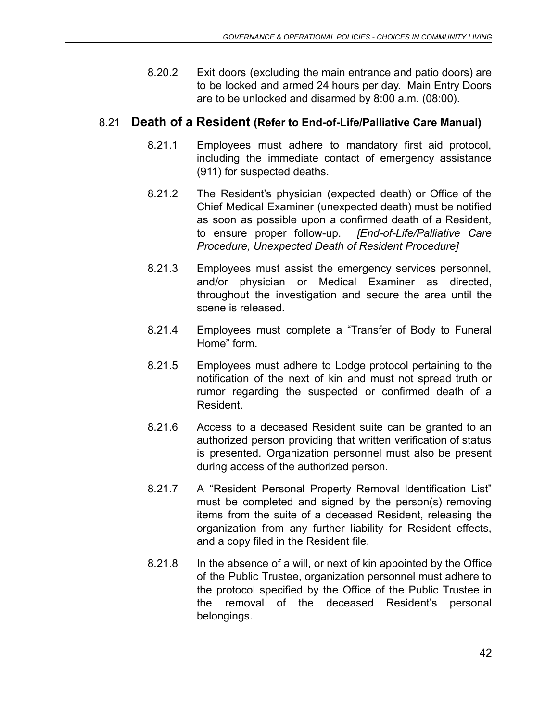8.20.2 Exit doors (excluding the main entrance and patio doors) are to be locked and armed 24 hours per day. Main Entry Doors are to be unlocked and disarmed by 8:00 a.m. (08:00).

#### 8.21 **Death of a Resident (Refer to End-of-Life/Palliative Care Manual)**

- 8.21.1 Employees must adhere to mandatory first aid protocol, including the immediate contact of emergency assistance (911) for suspected deaths.
- 8.21.2 The Resident's physician (expected death) or Office of the Chief Medical Examiner (unexpected death) must be notified as soon as possible upon a confirmed death of a Resident, to ensure proper follow-up. *[End-of-Life/Palliative Care Procedure, Unexpected Death of Resident Procedure]*
- 8.21.3 Employees must assist the emergency services personnel, and/or physician or Medical Examiner as directed, throughout the investigation and secure the area until the scene is released.
- 8.21.4 Employees must complete a "Transfer of Body to Funeral Home" form.
- 8.21.5 Employees must adhere to Lodge protocol pertaining to the notification of the next of kin and must not spread truth or rumor regarding the suspected or confirmed death of a Resident.
- 8.21.6 Access to a deceased Resident suite can be granted to an authorized person providing that written verification of status is presented. Organization personnel must also be present during access of the authorized person.
- 8.21.7 A "Resident Personal Property Removal Identification List" must be completed and signed by the person(s) removing items from the suite of a deceased Resident, releasing the organization from any further liability for Resident effects, and a copy filed in the Resident file.
- 8.21.8 In the absence of a will, or next of kin appointed by the Office of the Public Trustee, organization personnel must adhere to the protocol specified by the Office of the Public Trustee in the removal of the deceased Resident's personal belongings.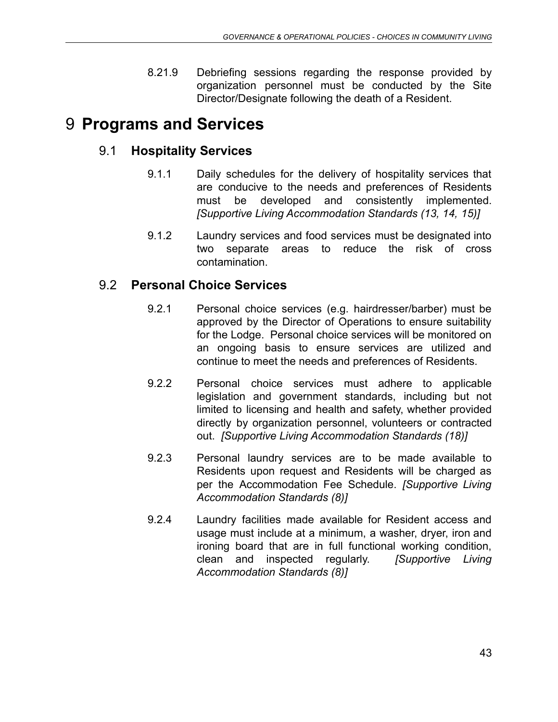8.21.9 Debriefing sessions regarding the response provided by organization personnel must be conducted by the Site Director/Designate following the death of a Resident.

# 9 **Programs and Services**

# 9.1 **Hospitality Services**

- 9.1.1 Daily schedules for the delivery of hospitality services that are conducive to the needs and preferences of Residents must be developed and consistently implemented. *[Supportive Living Accommodation Standards (13, 14, 15)]*
- 9.1.2 Laundry services and food services must be designated into two separate areas to reduce the risk of cross contamination.

# 9.2 **Personal Choice Services**

- 9.2.1 Personal choice services (e.g. hairdresser/barber) must be approved by the Director of Operations to ensure suitability for the Lodge. Personal choice services will be monitored on an ongoing basis to ensure services are utilized and continue to meet the needs and preferences of Residents.
- 9.2.2 Personal choice services must adhere to applicable legislation and government standards, including but not limited to licensing and health and safety, whether provided directly by organization personnel, volunteers or contracted out. *[Supportive Living Accommodation Standards (18)]*
- 9.2.3 Personal laundry services are to be made available to Residents upon request and Residents will be charged as per the Accommodation Fee Schedule. *[Supportive Living Accommodation Standards (8)]*
- 9.2.4 Laundry facilities made available for Resident access and usage must include at a minimum, a washer, dryer, iron and ironing board that are in full functional working condition, clean and inspected regularly. *[Supportive Living Accommodation Standards (8)]*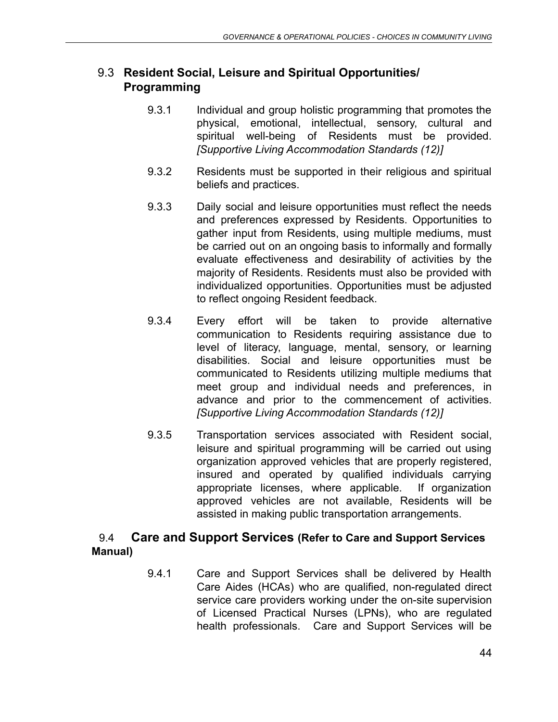### 9.3 **Resident Social, Leisure and Spiritual Opportunities/ Programming**

- 9.3.1 Individual and group holistic programming that promotes the physical, emotional, intellectual, sensory, cultural and spiritual well-being of Residents must be provided. *[Supportive Living Accommodation Standards (12)]*
- 9.3.2 Residents must be supported in their religious and spiritual beliefs and practices.
- 9.3.3 Daily social and leisure opportunities must reflect the needs and preferences expressed by Residents. Opportunities to gather input from Residents, using multiple mediums, must be carried out on an ongoing basis to informally and formally evaluate effectiveness and desirability of activities by the majority of Residents. Residents must also be provided with individualized opportunities. Opportunities must be adjusted to reflect ongoing Resident feedback.
- 9.3.4 Every effort will be taken to provide alternative communication to Residents requiring assistance due to level of literacy, language, mental, sensory, or learning disabilities. Social and leisure opportunities must be communicated to Residents utilizing multiple mediums that meet group and individual needs and preferences, in advance and prior to the commencement of activities. *[Supportive Living Accommodation Standards (12)]*
- 9.3.5 Transportation services associated with Resident social, leisure and spiritual programming will be carried out using organization approved vehicles that are properly registered, insured and operated by qualified individuals carrying appropriate licenses, where applicable. If organization approved vehicles are not available, Residents will be assisted in making public transportation arrangements.

### 9.4 **Care and Support Services (Refer to Care and Support Services Manual)**

9.4.1 Care and Support Services shall be delivered by Health Care Aides (HCAs) who are qualified, non-regulated direct service care providers working under the on-site supervision of Licensed Practical Nurses (LPNs), who are regulated health professionals. Care and Support Services will be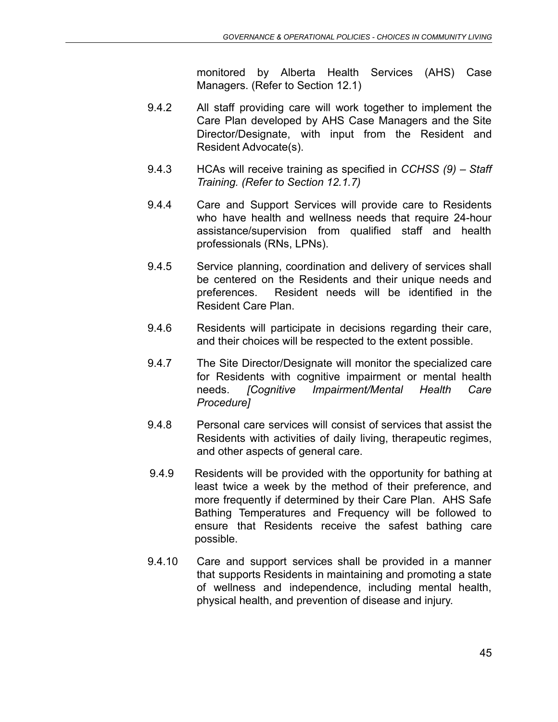monitored by Alberta Health Services (AHS) Case Managers. (Refer to Section 12.1)

- 9.4.2 All staff providing care will work together to implement the Care Plan developed by AHS Case Managers and the Site Director/Designate, with input from the Resident and Resident Advocate(s).
- 9.4.3 HCAs will receive training as specified in *CCHSS (9) Staff Training. (Refer to Section 12.1.7)*
- 9.4.4 Care and Support Services will provide care to Residents who have health and wellness needs that require 24-hour assistance/supervision from qualified staff and health professionals (RNs, LPNs).
- 9.4.5 Service planning, coordination and delivery of services shall be centered on the Residents and their unique needs and preferences. Resident needs will be identified in the Resident Care Plan.
- 9.4.6 Residents will participate in decisions regarding their care, and their choices will be respected to the extent possible.
- 9.4.7 The Site Director/Designate will monitor the specialized care for Residents with cognitive impairment or mental health needs. *[Cognitive Impairment/Mental Health Care Procedure]*
- 9.4.8 Personal care services will consist of services that assist the Residents with activities of daily living, therapeutic regimes, and other aspects of general care.
- 9.4.9 Residents will be provided with the opportunity for bathing at least twice a week by the method of their preference, and more frequently if determined by their Care Plan. AHS Safe Bathing Temperatures and Frequency will be followed to ensure that Residents receive the safest bathing care possible.
- 9.4.10 Care and support services shall be provided in a manner that supports Residents in maintaining and promoting a state of wellness and independence, including mental health, physical health, and prevention of disease and injury.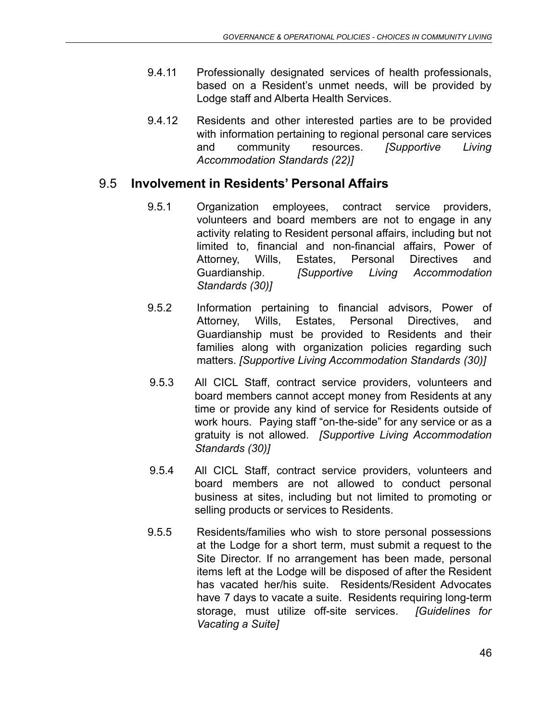- 9.4.11 Professionally designated services of health professionals, based on a Resident's unmet needs, will be provided by Lodge staff and Alberta Health Services.
- 9.4.12 Residents and other interested parties are to be provided with information pertaining to regional personal care services and community resources. *[Supportive Living Accommodation Standards (22)]*

### 9.5 **Involvement in Residents' Personal Affairs**

- 9.5.1 Organization employees, contract service providers, volunteers and board members are not to engage in any activity relating to Resident personal affairs, including but not limited to, financial and non-financial affairs, Power of Attorney, Wills, Estates, Personal Directives and Guardianship. *[Supportive Living Accommodation Standards (30)]*
- 9.5.2 Information pertaining to financial advisors, Power of Attorney, Wills, Estates, Personal Directives, and Guardianship must be provided to Residents and their families along with organization policies regarding such matters. *[Supportive Living Accommodation Standards (30)]*
- 9.5.3 All CICL Staff, contract service providers, volunteers and board members cannot accept money from Residents at any time or provide any kind of service for Residents outside of work hours. Paying staff "on-the-side" for any service or as a gratuity is not allowed. *[Supportive Living Accommodation Standards (30)]*
- 9.5.4 All CICL Staff, contract service providers, volunteers and board members are not allowed to conduct personal business at sites, including but not limited to promoting or selling products or services to Residents.
- 9.5.5 Residents/families who wish to store personal possessions at the Lodge for a short term, must submit a request to the Site Director. If no arrangement has been made, personal items left at the Lodge will be disposed of after the Resident has vacated her/his suite. Residents/Resident Advocates have 7 days to vacate a suite. Residents requiring long-term storage, must utilize off-site services. *[Guidelines for Vacating a Suite]*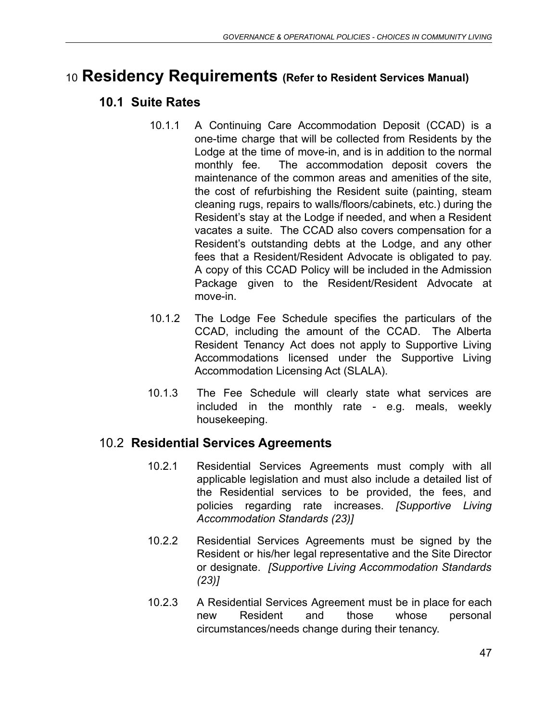# <sup>10</sup> **Residency Requirements (Refer to Resident Services Manual)**

### **10.1 Suite Rates**

- 10.1.1 A Continuing Care Accommodation Deposit (CCAD) is a one-time charge that will be collected from Residents by the Lodge at the time of move-in, and is in addition to the normal monthly fee. The accommodation deposit covers the maintenance of the common areas and amenities of the site, the cost of refurbishing the Resident suite (painting, steam cleaning rugs, repairs to walls/floors/cabinets, etc.) during the Resident's stay at the Lodge if needed, and when a Resident vacates a suite. The CCAD also covers compensation for a Resident's outstanding debts at the Lodge, and any other fees that a Resident/Resident Advocate is obligated to pay. A copy of this CCAD Policy will be included in the Admission Package given to the Resident/Resident Advocate at move-in.
- 10.1.2 The Lodge Fee Schedule specifies the particulars of the CCAD, including the amount of the CCAD. The Alberta Resident Tenancy Act does not apply to Supportive Living Accommodations licensed under the Supportive Living Accommodation Licensing Act (SLALA).
- 10.1.3 The Fee Schedule will clearly state what services are included in the monthly rate - e.g. meals, weekly housekeeping.

#### 10.2 **Residential Services Agreements**

- 10.2.1 Residential Services Agreements must comply with all applicable legislation and must also include a detailed list of the Residential services to be provided, the fees, and policies regarding rate increases. *[Supportive Living Accommodation Standards (23)]*
- 10.2.2 Residential Services Agreements must be signed by the Resident or his/her legal representative and the Site Director or designate. *[Supportive Living Accommodation Standards (23)]*
- 10.2.3 A Residential Services Agreement must be in place for each new Resident and those whose personal circumstances/needs change during their tenancy.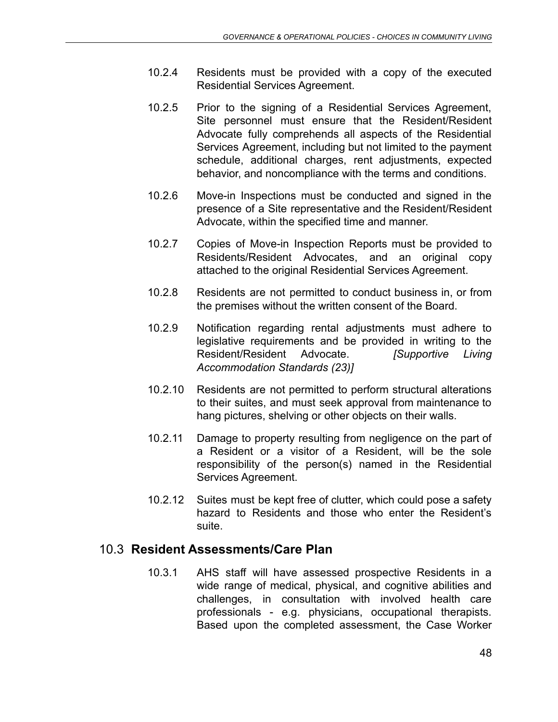- 10.2.4 Residents must be provided with a copy of the executed Residential Services Agreement.
- 10.2.5 Prior to the signing of a Residential Services Agreement, Site personnel must ensure that the Resident/Resident Advocate fully comprehends all aspects of the Residential Services Agreement, including but not limited to the payment schedule, additional charges, rent adjustments, expected behavior, and noncompliance with the terms and conditions.
- 10.2.6 Move-in Inspections must be conducted and signed in the presence of a Site representative and the Resident/Resident Advocate, within the specified time and manner.
- 10.2.7 Copies of Move-in Inspection Reports must be provided to Residents/Resident Advocates, and an original copy attached to the original Residential Services Agreement.
- 10.2.8 Residents are not permitted to conduct business in, or from the premises without the written consent of the Board.
- 10.2.9 Notification regarding rental adjustments must adhere to legislative requirements and be provided in writing to the Resident/Resident Advocate. *[Supportive Living Accommodation Standards (23)]*
- 10.2.10 Residents are not permitted to perform structural alterations to their suites, and must seek approval from maintenance to hang pictures, shelving or other objects on their walls.
- 10.2.11 Damage to property resulting from negligence on the part of a Resident or a visitor of a Resident, will be the sole responsibility of the person(s) named in the Residential Services Agreement.
- 10.2.12 Suites must be kept free of clutter, which could pose a safety hazard to Residents and those who enter the Resident's suite.

# 10.3 **Resident Assessments/Care Plan**

10.3.1 AHS staff will have assessed prospective Residents in a wide range of medical, physical, and cognitive abilities and challenges, in consultation with involved health care professionals - e.g. physicians, occupational therapists. Based upon the completed assessment, the Case Worker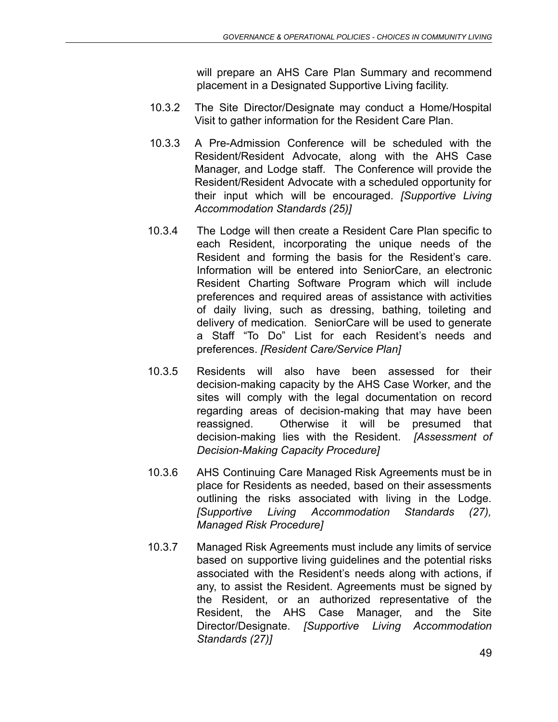will prepare an AHS Care Plan Summary and recommend placement in a Designated Supportive Living facility.

- 10.3.2 The Site Director/Designate may conduct a Home/Hospital Visit to gather information for the Resident Care Plan.
- 10.3.3 A Pre-Admission Conference will be scheduled with the Resident/Resident Advocate, along with the AHS Case Manager, and Lodge staff. The Conference will provide the Resident/Resident Advocate with a scheduled opportunity for their input which will be encouraged. *[Supportive Living Accommodation Standards (25)]*
- 10.3.4 The Lodge will then create a Resident Care Plan specific to each Resident, incorporating the unique needs of the Resident and forming the basis for the Resident's care. Information will be entered into SeniorCare, an electronic Resident Charting Software Program which will include preferences and required areas of assistance with activities of daily living, such as dressing, bathing, toileting and delivery of medication. SeniorCare will be used to generate a Staff "To Do" List for each Resident's needs and preferences. *[Resident Care/Service Plan]*
- 10.3.5 Residents will also have been assessed for their decision-making capacity by the AHS Case Worker, and the sites will comply with the legal documentation on record regarding areas of decision-making that may have been reassigned. Otherwise it will be presumed that decision-making lies with the Resident. *[Assessment of Decision-Making Capacity Procedure]*
- 10.3.6 AHS Continuing Care Managed Risk Agreements must be in place for Residents as needed, based on their assessments outlining the risks associated with living in the Lodge. *[Supportive Living Accommodation Standards (27), Managed Risk Procedure]*
- 10.3.7 Managed Risk Agreements must include any limits of service based on supportive living guidelines and the potential risks associated with the Resident's needs along with actions, if any, to assist the Resident. Agreements must be signed by the Resident, or an authorized representative of the Resident, the AHS Case Manager, and the Site Director/Designate. *[Supportive Living Accommodation Standards (27)]*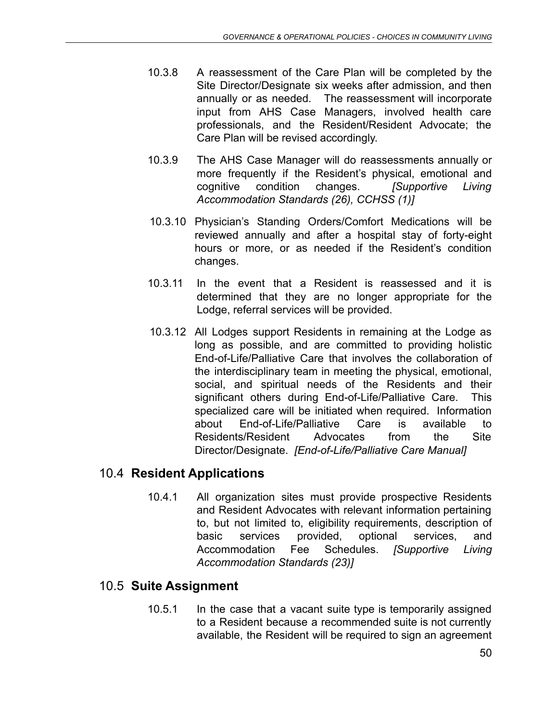- 10.3.8 A reassessment of the Care Plan will be completed by the Site Director/Designate six weeks after admission, and then annually or as needed. The reassessment will incorporate input from AHS Case Managers, involved health care professionals, and the Resident/Resident Advocate; the Care Plan will be revised accordingly.
- 10.3.9 The AHS Case Manager will do reassessments annually or more frequently if the Resident's physical, emotional and cognitive condition changes. *[Supportive Living Accommodation Standards (26), CCHSS (1)]*
- 10.3.10 Physician's Standing Orders/Comfort Medications will be reviewed annually and after a hospital stay of forty-eight hours or more, or as needed if the Resident's condition changes.
- 10.3.11 In the event that a Resident is reassessed and it is determined that they are no longer appropriate for the Lodge, referral services will be provided.
- 10.3.12 All Lodges support Residents in remaining at the Lodge as long as possible, and are committed to providing holistic End-of-Life/Palliative Care that involves the collaboration of the interdisciplinary team in meeting the physical, emotional, social, and spiritual needs of the Residents and their significant others during End-of-Life/Palliative Care. This specialized care will be initiated when required. Information about End-of-Life/Palliative Care is available to Residents/Resident Advocates from the Site Director/Designate. *[End-of-Life/Palliative Care Manual]*

# 10.4 **Resident Applications**

10.4.1 All organization sites must provide prospective Residents and Resident Advocates with relevant information pertaining to, but not limited to, eligibility requirements, description of basic services provided, optional services, and Accommodation Fee Schedules. *[Supportive Living Accommodation Standards (23)]*

# 10.5 **Suite Assignment**

10.5.1 In the case that a vacant suite type is temporarily assigned to a Resident because a recommended suite is not currently available, the Resident will be required to sign an agreement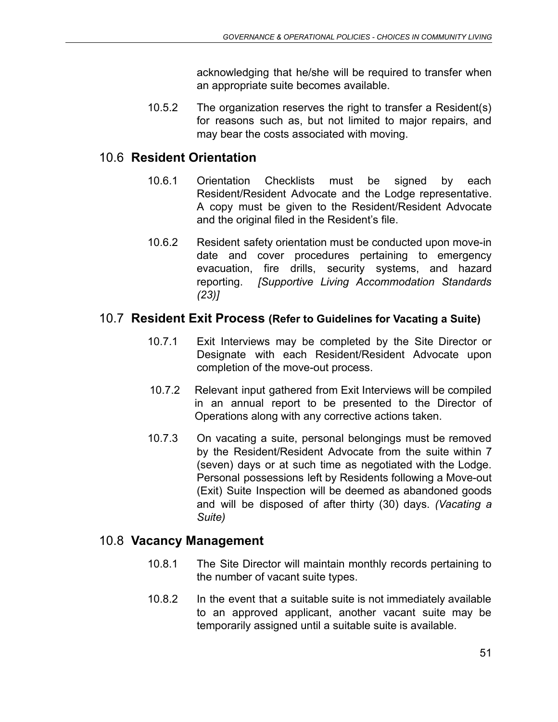acknowledging that he/she will be required to transfer when an appropriate suite becomes available.

10.5.2 The organization reserves the right to transfer a Resident(s) for reasons such as, but not limited to major repairs, and may bear the costs associated with moving.

# 10.6 **Resident Orientation**

- 10.6.1 Orientation Checklists must be signed by each Resident/Resident Advocate and the Lodge representative. A copy must be given to the Resident/Resident Advocate and the original filed in the Resident's file.
- 10.6.2 Resident safety orientation must be conducted upon move-in date and cover procedures pertaining to emergency evacuation, fire drills, security systems, and hazard reporting. *[Supportive Living Accommodation Standards (23)]*

#### 10.7 **Resident Exit Process (Refer to Guidelines for Vacating a Suite)**

- 10.7.1 Exit Interviews may be completed by the Site Director or Designate with each Resident/Resident Advocate upon completion of the move-out process.
- 10.7.2 Relevant input gathered from Exit Interviews will be compiled in an annual report to be presented to the Director of Operations along with any corrective actions taken.
- 10.7.3 On vacating a suite, personal belongings must be removed by the Resident/Resident Advocate from the suite within 7 (seven) days or at such time as negotiated with the Lodge. Personal possessions left by Residents following a Move-out (Exit) Suite Inspection will be deemed as abandoned goods and will be disposed of after thirty (30) days. *(Vacating a Suite)*

# 10.8 **Vacancy Management**

- 10.8.1 The Site Director will maintain monthly records pertaining to the number of vacant suite types.
- 10.8.2 In the event that a suitable suite is not immediately available to an approved applicant, another vacant suite may be temporarily assigned until a suitable suite is available.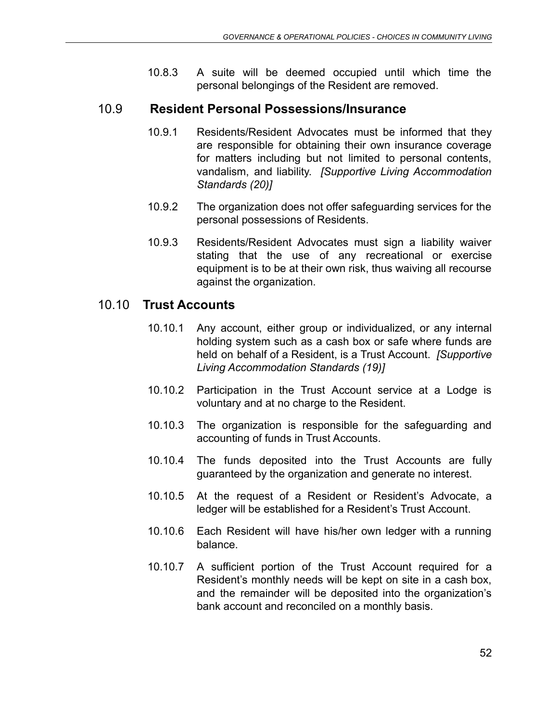10.8.3 A suite will be deemed occupied until which time the personal belongings of the Resident are removed.

#### 10.9 **Resident Personal Possessions/Insurance**

- 10.9.1 Residents/Resident Advocates must be informed that they are responsible for obtaining their own insurance coverage for matters including but not limited to personal contents, vandalism, and liability. *[Supportive Living Accommodation Standards (20)]*
- 10.9.2 The organization does not offer safeguarding services for the personal possessions of Residents.
- 10.9.3 Residents/Resident Advocates must sign a liability waiver stating that the use of any recreational or exercise equipment is to be at their own risk, thus waiving all recourse against the organization.

#### 10.10 **Trust Accounts**

- 10.10.1 Any account, either group or individualized, or any internal holding system such as a cash box or safe where funds are held on behalf of a Resident, is a Trust Account. *[Supportive Living Accommodation Standards (19)]*
- 10.10.2 Participation in the Trust Account service at a Lodge is voluntary and at no charge to the Resident.
- 10.10.3 The organization is responsible for the safeguarding and accounting of funds in Trust Accounts.
- 10.10.4 The funds deposited into the Trust Accounts are fully guaranteed by the organization and generate no interest.
- 10.10.5 At the request of a Resident or Resident's Advocate, a ledger will be established for a Resident's Trust Account.
- 10.10.6 Each Resident will have his/her own ledger with a running balance.
- 10.10.7 A sufficient portion of the Trust Account required for a Resident's monthly needs will be kept on site in a cash box, and the remainder will be deposited into the organization's bank account and reconciled on a monthly basis.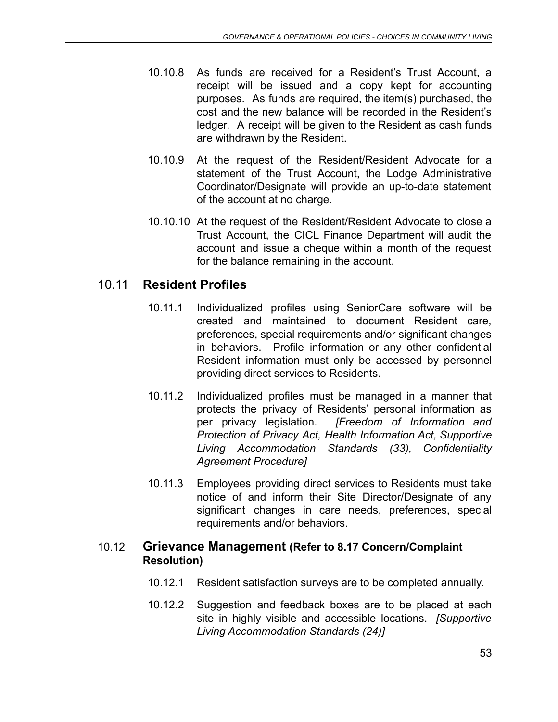- 10.10.8 As funds are received for a Resident's Trust Account, a receipt will be issued and a copy kept for accounting purposes. As funds are required, the item(s) purchased, the cost and the new balance will be recorded in the Resident's ledger. A receipt will be given to the Resident as cash funds are withdrawn by the Resident.
- 10.10.9 At the request of the Resident/Resident Advocate for a statement of the Trust Account, the Lodge Administrative Coordinator/Designate will provide an up-to-date statement of the account at no charge.
- 10.10.10 At the request of the Resident/Resident Advocate to close a Trust Account, the CICL Finance Department will audit the account and issue a cheque within a month of the request for the balance remaining in the account.

# 10.11 **Resident Profiles**

- 10.11.1 Individualized profiles using SeniorCare software will be created and maintained to document Resident care, preferences, special requirements and/or significant changes in behaviors. Profile information or any other confidential Resident information must only be accessed by personnel providing direct services to Residents.
- 10.11.2 Individualized profiles must be managed in a manner that protects the privacy of Residents' personal information as per privacy legislation. *[Freedom of Information and Protection of Privacy Act, Health Information Act, Supportive Living Accommodation Standards (33), Confidentiality Agreement Procedure]*
- 10.11.3 Employees providing direct services to Residents must take notice of and inform their Site Director/Designate of any significant changes in care needs, preferences, special requirements and/or behaviors.

#### 10.12 **Grievance Management (Refer to 8.17 Concern/Complaint Resolution)**

- 10.12.1 Resident satisfaction surveys are to be completed annually.
- 10.12.2 Suggestion and feedback boxes are to be placed at each site in highly visible and accessible locations. *[Supportive Living Accommodation Standards (24)]*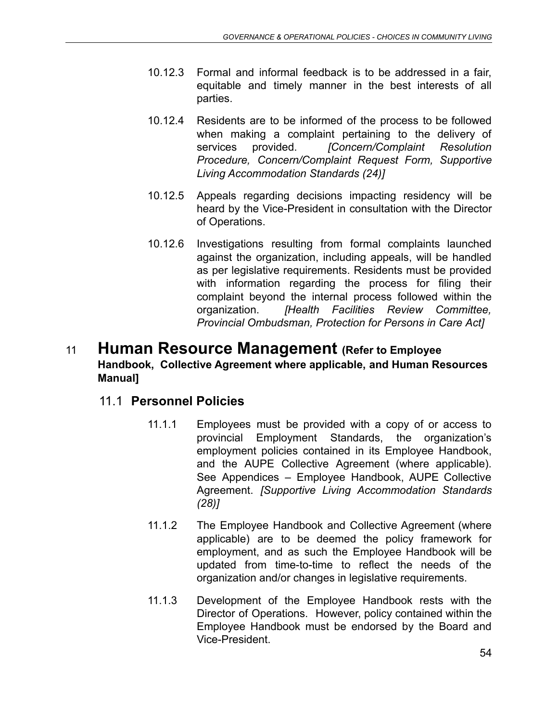- 10.12.3 Formal and informal feedback is to be addressed in a fair, equitable and timely manner in the best interests of all parties.
- 10.12.4 Residents are to be informed of the process to be followed when making a complaint pertaining to the delivery of services provided. *[Concern/Complaint Resolution Procedure, Concern/Complaint Request Form, Supportive Living Accommodation Standards (24)]*
- 10.12.5 Appeals regarding decisions impacting residency will be heard by the Vice-President in consultation with the Director of Operations.
- 10.12.6 Investigations resulting from formal complaints launched against the organization, including appeals, will be handled as per legislative requirements. Residents must be provided with information regarding the process for filing their complaint beyond the internal process followed within the organization. *[Health Facilities Review Committee, Provincial Ombudsman, Protection for Persons in Care Act]*

# <sup>11</sup> **Human Resource Management (Refer to Employee Handbook, Collective Agreement where applicable, and Human Resources Manual]**

# 11.1 **Personnel Policies**

- 11.1.1 Employees must be provided with a copy of or access to provincial Employment Standards, the organization's employment policies contained in its Employee Handbook, and the AUPE Collective Agreement (where applicable). See Appendices – Employee Handbook, AUPE Collective Agreement. *[Supportive Living Accommodation Standards (28)]*
- 11.1.2 The Employee Handbook and Collective Agreement (where applicable) are to be deemed the policy framework for employment, and as such the Employee Handbook will be updated from time-to-time to reflect the needs of the organization and/or changes in legislative requirements.
- 11.1.3 Development of the Employee Handbook rests with the Director of Operations. However, policy contained within the Employee Handbook must be endorsed by the Board and Vice-President.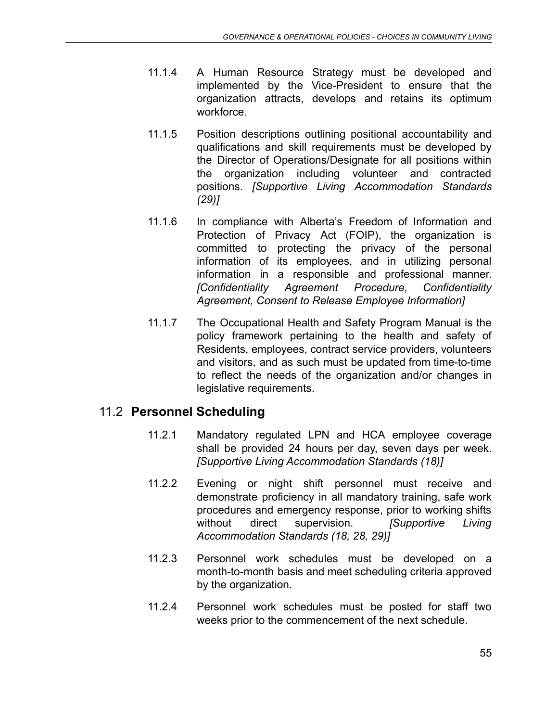- 11.1.4 A Human Resource Strategy must be developed and implemented by the Vice-President to ensure that the organization attracts, develops and retains its optimum workforce.
- 11.1.5 Position descriptions outlining positional accountability and qualifications and skill requirements must be developed by the Director of Operations/Designate for all positions within the organization including volunteer and contracted positions. *[Supportive Living Accommodation Standards (29)]*
- 11.1.6 In compliance with Alberta's Freedom of Information and Protection of Privacy Act (FOIP), the organization is committed to protecting the privacy of the personal information of its employees, and in utilizing personal information in a responsible and professional manner. *[Confidentiality Agreement Procedure, Confidentiality Agreement, Consent to Release Employee Information]*
- 11.1.7 The Occupational Health and Safety Program Manual is the policy framework pertaining to the health and safety of Residents, employees, contract service providers, volunteers and visitors, and as such must be updated from time-to-time to reflect the needs of the organization and/or changes in legislative requirements.

# 11.2 **Personnel Scheduling**

- 11.2.1 Mandatory regulated LPN and HCA employee coverage shall be provided 24 hours per day, seven days per week. *[Supportive Living Accommodation Standards (18)]*
- 11.2.2 Evening or night shift personnel must receive and demonstrate proficiency in all mandatory training, safe work procedures and emergency response, prior to working shifts without direct supervision. *[Supportive Living Accommodation Standards (18, 28, 29)]*
- 11.2.3 Personnel work schedules must be developed on a month-to-month basis and meet scheduling criteria approved by the organization.
- 11.2.4 Personnel work schedules must be posted for staff two weeks prior to the commencement of the next schedule.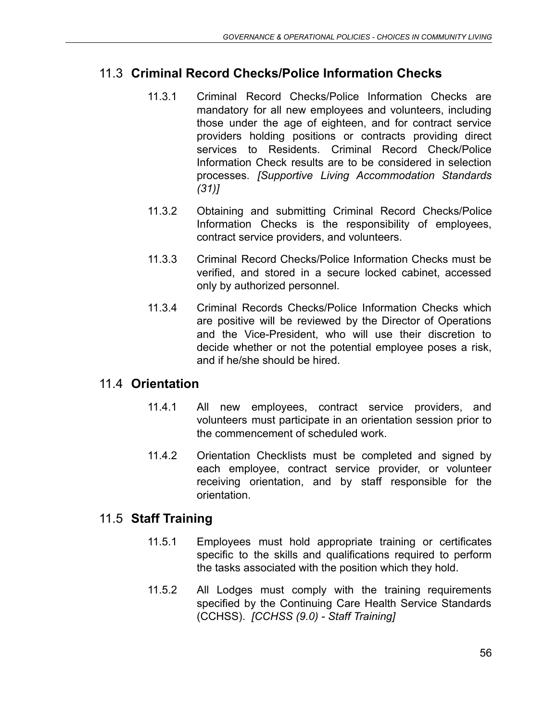# 11.3 **Criminal Record Checks/Police Information Checks**

- 11.3.1 Criminal Record Checks/Police Information Checks are mandatory for all new employees and volunteers, including those under the age of eighteen, and for contract service providers holding positions or contracts providing direct services to Residents. Criminal Record Check/Police Information Check results are to be considered in selection processes. *[Supportive Living Accommodation Standards (31)]*
- 11.3.2 Obtaining and submitting Criminal Record Checks/Police Information Checks is the responsibility of employees, contract service providers, and volunteers.
- 11.3.3 Criminal Record Checks/Police Information Checks must be verified, and stored in a secure locked cabinet, accessed only by authorized personnel.
- 11.3.4 Criminal Records Checks/Police Information Checks which are positive will be reviewed by the Director of Operations and the Vice-President, who will use their discretion to decide whether or not the potential employee poses a risk, and if he/she should be hired.

# 11.4 **Orientation**

- 11.4.1 All new employees, contract service providers, and volunteers must participate in an orientation session prior to the commencement of scheduled work.
- 11.4.2 Orientation Checklists must be completed and signed by each employee, contract service provider, or volunteer receiving orientation, and by staff responsible for the orientation.

# 11.5 **Staff Training**

- 11.5.1 Employees must hold appropriate training or certificates specific to the skills and qualifications required to perform the tasks associated with the position which they hold.
- 11.5.2 All Lodges must comply with the training requirements specified by the Continuing Care Health Service Standards (CCHSS). *[CCHSS (9.0) - Staff Training]*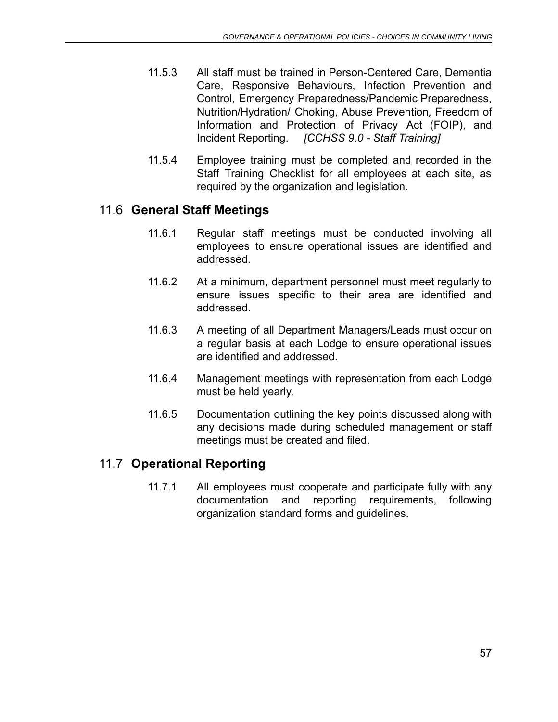- 11.5.3 All staff must be trained in Person-Centered Care, Dementia Care, Responsive Behaviours, Infection Prevention and Control, Emergency Preparedness/Pandemic Preparedness, Nutrition/Hydration/ Choking, Abuse Prevention*,* Freedom of Information and Protection of Privacy Act (FOIP), and Incident Reporting. *[CCHSS 9.0 - Staff Training]*
- 11.5.4 Employee training must be completed and recorded in the Staff Training Checklist for all employees at each site, as required by the organization and legislation.

# 11.6 **General Staff Meetings**

- 11.6.1 Regular staff meetings must be conducted involving all employees to ensure operational issues are identified and addressed.
- 11.6.2 At a minimum, department personnel must meet regularly to ensure issues specific to their area are identified and addressed.
- 11.6.3 A meeting of all Department Managers/Leads must occur on a regular basis at each Lodge to ensure operational issues are identified and addressed.
- 11.6.4 Management meetings with representation from each Lodge must be held yearly.
- 11.6.5 Documentation outlining the key points discussed along with any decisions made during scheduled management or staff meetings must be created and filed.

# 11.7 **Operational Reporting**

11.7.1 All employees must cooperate and participate fully with any documentation and reporting requirements, following organization standard forms and guidelines.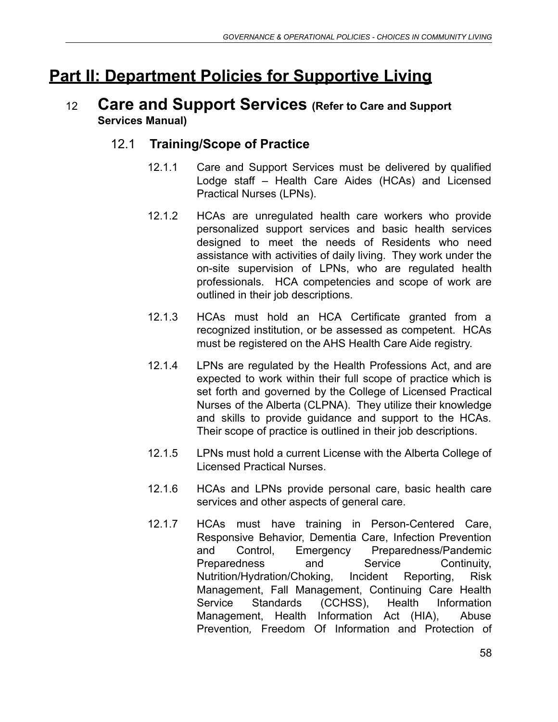# **Part II: Department Policies for Supportive Living**

# <sup>12</sup> **Care and Support Services (Refer to Care and Support Services Manual)**

# 12.1 **Training/Scope of Practice**

- 12.1.1 Care and Support Services must be delivered by qualified Lodge staff – Health Care Aides (HCAs) and Licensed Practical Nurses (LPNs).
- 12.1.2 HCAs are unregulated health care workers who provide personalized support services and basic health services designed to meet the needs of Residents who need assistance with activities of daily living. They work under the on-site supervision of LPNs, who are regulated health professionals. HCA competencies and scope of work are outlined in their job descriptions.
- 12.1.3 HCAs must hold an HCA Certificate granted from a recognized institution, or be assessed as competent. HCAs must be registered on the AHS Health Care Aide registry.
- 12.1.4 LPNs are regulated by the Health Professions Act, and are expected to work within their full scope of practice which is set forth and governed by the College of Licensed Practical Nurses of the Alberta (CLPNA). They utilize their knowledge and skills to provide guidance and support to the HCAs. Their scope of practice is outlined in their job descriptions.
- 12.1.5 LPNs must hold a current License with the Alberta College of Licensed Practical Nurses.
- 12.1.6 HCAs and LPNs provide personal care, basic health care services and other aspects of general care.
- 12.1.7 HCAs must have training in Person-Centered Care, Responsive Behavior, Dementia Care, Infection Prevention and Control, Emergency Preparedness/Pandemic Preparedness and Service Continuity, Nutrition/Hydration/Choking, Incident Reporting, Risk Management, Fall Management, Continuing Care Health Service Standards (CCHSS), Health Information Management, Health Information Act (HIA), Abuse Prevention*,* Freedom Of Information and Protection of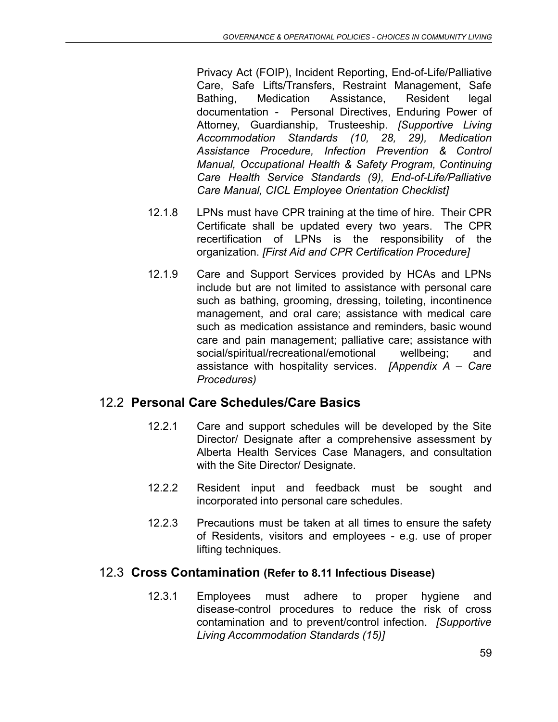Privacy Act (FOIP), Incident Reporting, End-of-Life/Palliative Care, Safe Lifts/Transfers, Restraint Management, Safe Bathing, Medication Assistance, Resident legal documentation - Personal Directives, Enduring Power of Attorney, Guardianship, Trusteeship. *[Supportive Living Accommodation Standards (10, 28, 29), Medication Assistance Procedure, Infection Prevention & Control Manual, Occupational Health & Safety Program, Continuing Care Health Service Standards (9), End-of-Life/Palliative Care Manual, CICL Employee Orientation Checklist]*

- 12.1.8 LPNs must have CPR training at the time of hire. Their CPR Certificate shall be updated every two years. The CPR recertification of LPNs is the responsibility of the organization. *[First Aid and CPR Certification Procedure]*
- 12.1.9 Care and Support Services provided by HCAs and LPNs include but are not limited to assistance with personal care such as bathing, grooming, dressing, toileting, incontinence management, and oral care; assistance with medical care such as medication assistance and reminders, basic wound care and pain management; palliative care; assistance with social/spiritual/recreational/emotional wellbeing; and assistance with hospitality services. *[Appendix A – Care Procedures)*

# 12.2 **Personal Care Schedules/Care Basics**

- 12.2.1 Care and support schedules will be developed by the Site Director/ Designate after a comprehensive assessment by Alberta Health Services Case Managers, and consultation with the Site Director/ Designate.
- 12.2.2 Resident input and feedback must be sought and incorporated into personal care schedules.
- 12.2.3 Precautions must be taken at all times to ensure the safety of Residents, visitors and employees - e.g. use of proper lifting techniques.

#### 12.3 **Cross Contamination (Refer to 8.11 Infectious Disease)**

12.3.1 Employees must adhere to proper hygiene and disease-control procedures to reduce the risk of cross contamination and to prevent/control infection. *[Supportive Living Accommodation Standards (15)]*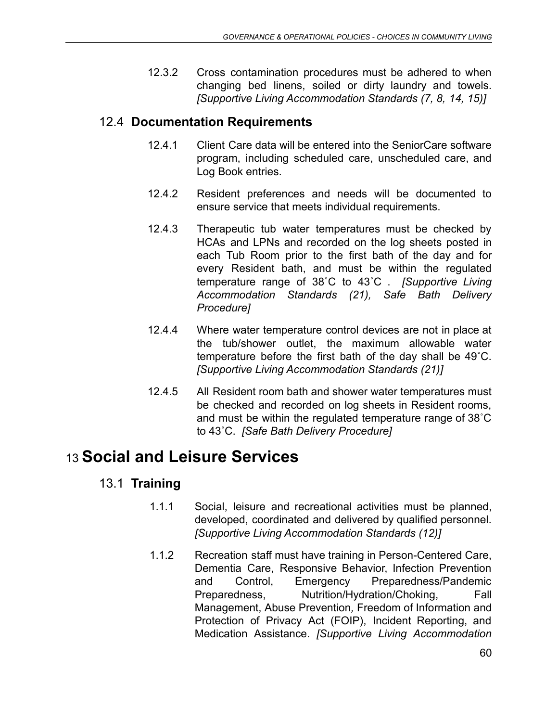12.3.2 Cross contamination procedures must be adhered to when changing bed linens, soiled or dirty laundry and towels. *[Supportive Living Accommodation Standards (7, 8, 14, 15)]*

# 12.4 **Documentation Requirements**

- 12.4.1 Client Care data will be entered into the SeniorCare software program, including scheduled care, unscheduled care, and Log Book entries.
- 12.4.2 Resident preferences and needs will be documented to ensure service that meets individual requirements.
- 12.4.3 Therapeutic tub water temperatures must be checked by HCAs and LPNs and recorded on the log sheets posted in each Tub Room prior to the first bath of the day and for every Resident bath, and must be within the regulated temperature range of 38˚C to 43˚C . *[Supportive Living Accommodation Standards (21), Safe Bath Delivery Procedure]*
- 12.4.4 Where water temperature control devices are not in place at the tub/shower outlet, the maximum allowable water temperature before the first bath of the day shall be 49˚C. *[Supportive Living Accommodation Standards (21)]*
- 12.4.5 All Resident room bath and shower water temperatures must be checked and recorded on log sheets in Resident rooms, and must be within the regulated temperature range of 38˚C to 43˚C. *[Safe Bath Delivery Procedure]*

# 13 **Social and Leisure Services**

# 13.1 **Training**

- 1.1.1 Social, leisure and recreational activities must be planned, developed, coordinated and delivered by qualified personnel. *[Supportive Living Accommodation Standards (12)]*
- 1.1.2 Recreation staff must have training in Person-Centered Care, Dementia Care, Responsive Behavior, Infection Prevention and Control, Emergency Preparedness/Pandemic Preparedness, Nutrition/Hydration/Choking, Fall Management, Abuse Prevention*,* Freedom of Information and Protection of Privacy Act (FOIP), Incident Reporting, and Medication Assistance. *[Supportive Living Accommodation*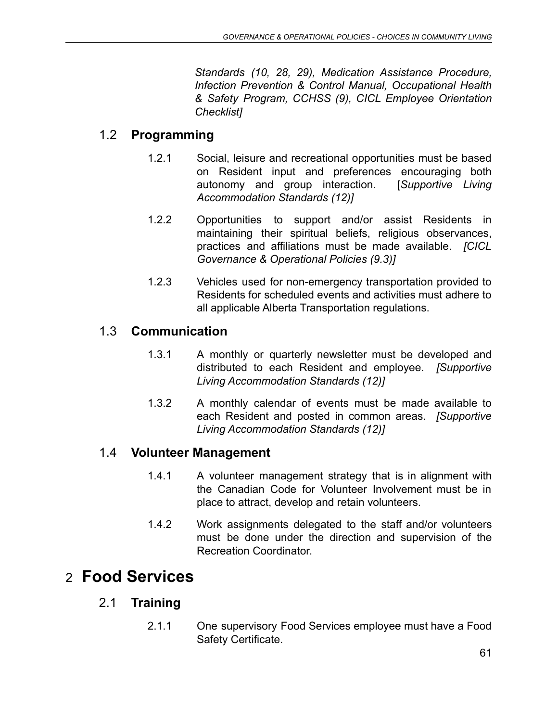*Standards (10, 28, 29), Medication Assistance Procedure, Infection Prevention & Control Manual, Occupational Health & Safety Program, CCHSS (9), CICL Employee Orientation Checklist]*

#### 1.2 **Programming**

- 1.2.1 Social, leisure and recreational opportunities must be based on Resident input and preferences encouraging both autonomy and group interaction. [*Supportive Living Accommodation Standards (12)]*
- 1.2.2 Opportunities to support and/or assist Residents in maintaining their spiritual beliefs, religious observances, practices and affiliations must be made available. *[CICL Governance & Operational Policies (9.3)]*
- 1.2.3 Vehicles used for non-emergency transportation provided to Residents for scheduled events and activities must adhere to all applicable Alberta Transportation regulations.

#### 1.3 **Communication**

- 1.3.1 A monthly or quarterly newsletter must be developed and distributed to each Resident and employee. *[Supportive Living Accommodation Standards (12)]*
- 1.3.2 A monthly calendar of events must be made available to each Resident and posted in common areas. *[Supportive Living Accommodation Standards (12)]*

#### 1.4 **Volunteer Management**

- 1.4.1 A volunteer management strategy that is in alignment with the Canadian Code for Volunteer Involvement must be in place to attract, develop and retain volunteers.
- 1.4.2 Work assignments delegated to the staff and/or volunteers must be done under the direction and supervision of the Recreation Coordinator.

# 2 **Food Services**

#### 2.1 **Training**

2.1.1 One supervisory Food Services employee must have a Food Safety Certificate.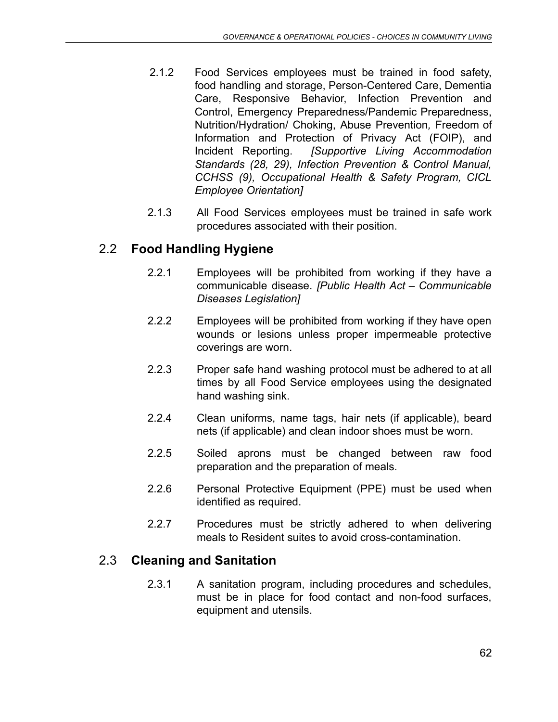- 2.1.2 Food Services employees must be trained in food safety, food handling and storage, Person-Centered Care, Dementia Care, Responsive Behavior, Infection Prevention and Control, Emergency Preparedness/Pandemic Preparedness, Nutrition/Hydration/ Choking, Abuse Prevention*,* Freedom of Information and Protection of Privacy Act (FOIP), and Incident Reporting. *[Supportive Living Accommodation Standards (28, 29), Infection Prevention & Control Manual, CCHSS (9), Occupational Health & Safety Program, CICL Employee Orientation]*
- 2.1.3 All Food Services employees must be trained in safe work procedures associated with their position.

# 2.2 **Food Handling Hygiene**

- 2.2.1 Employees will be prohibited from working if they have a communicable disease. *[Public Health Act – Communicable Diseases Legislation]*
- 2.2.2 Employees will be prohibited from working if they have open wounds or lesions unless proper impermeable protective coverings are worn.
- 2.2.3 Proper safe hand washing protocol must be adhered to at all times by all Food Service employees using the designated hand washing sink.
- 2.2.4 Clean uniforms, name tags, hair nets (if applicable), beard nets (if applicable) and clean indoor shoes must be worn.
- 2.2.5 Soiled aprons must be changed between raw food preparation and the preparation of meals.
- 2.2.6 Personal Protective Equipment (PPE) must be used when identified as required.
- 2.2.7 Procedures must be strictly adhered to when delivering meals to Resident suites to avoid cross-contamination.

# 2.3 **Cleaning and Sanitation**

2.3.1 A sanitation program, including procedures and schedules, must be in place for food contact and non-food surfaces, equipment and utensils.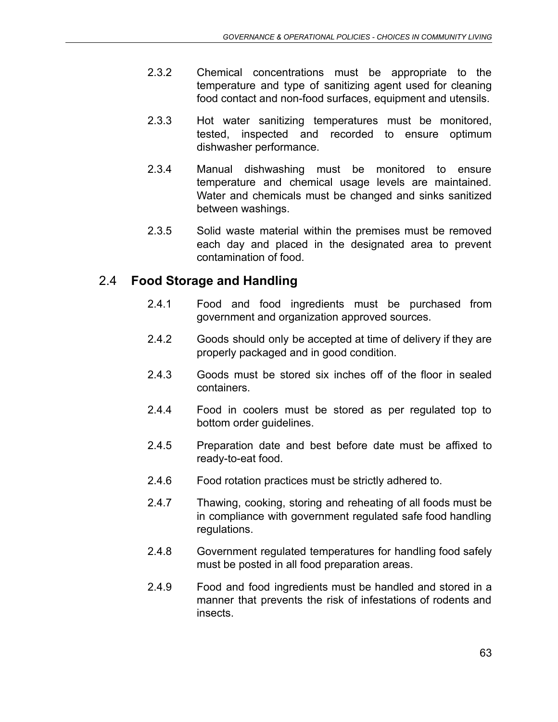- 2.3.2 Chemical concentrations must be appropriate to the temperature and type of sanitizing agent used for cleaning food contact and non-food surfaces, equipment and utensils.
- 2.3.3 Hot water sanitizing temperatures must be monitored, tested, inspected and recorded to ensure optimum dishwasher performance.
- 2.3.4 Manual dishwashing must be monitored to ensure temperature and chemical usage levels are maintained. Water and chemicals must be changed and sinks sanitized between washings.
- 2.3.5 Solid waste material within the premises must be removed each day and placed in the designated area to prevent contamination of food.

# 2.4 **Food Storage and Handling**

- 2.4.1 Food and food ingredients must be purchased from government and organization approved sources.
- 2.4.2 Goods should only be accepted at time of delivery if they are properly packaged and in good condition.
- 2.4.3 Goods must be stored six inches off of the floor in sealed containers.
- 2.4.4 Food in coolers must be stored as per regulated top to bottom order guidelines.
- 2.4.5 Preparation date and best before date must be affixed to ready-to-eat food.
- 2.4.6 Food rotation practices must be strictly adhered to.
- 2.4.7 Thawing, cooking, storing and reheating of all foods must be in compliance with government regulated safe food handling regulations.
- 2.4.8 Government regulated temperatures for handling food safely must be posted in all food preparation areas.
- 2.4.9 Food and food ingredients must be handled and stored in a manner that prevents the risk of infestations of rodents and insects.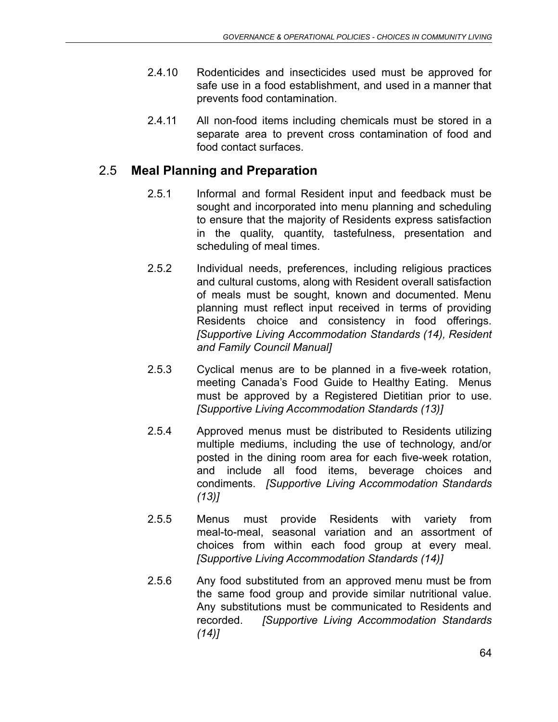- 2.4.10 Rodenticides and insecticides used must be approved for safe use in a food establishment, and used in a manner that prevents food contamination.
- 2.4.11 All non-food items including chemicals must be stored in a separate area to prevent cross contamination of food and food contact surfaces.

# 2.5 **Meal Planning and Preparation**

- 2.5.1 Informal and formal Resident input and feedback must be sought and incorporated into menu planning and scheduling to ensure that the majority of Residents express satisfaction in the quality, quantity, tastefulness, presentation and scheduling of meal times.
- 2.5.2 Individual needs, preferences, including religious practices and cultural customs, along with Resident overall satisfaction of meals must be sought, known and documented. Menu planning must reflect input received in terms of providing Residents choice and consistency in food offerings. *[Supportive Living Accommodation Standards (14), Resident and Family Council Manual]*
- 2.5.3 Cyclical menus are to be planned in a five-week rotation, meeting Canada's Food Guide to Healthy Eating. Menus must be approved by a Registered Dietitian prior to use. *[Supportive Living Accommodation Standards (13)]*
- 2.5.4 Approved menus must be distributed to Residents utilizing multiple mediums, including the use of technology, and/or posted in the dining room area for each five-week rotation, and include all food items, beverage choices and condiments. *[Supportive Living Accommodation Standards (13)]*
- 2.5.5 Menus must provide Residents with variety from meal-to-meal, seasonal variation and an assortment of choices from within each food group at every meal. *[Supportive Living Accommodation Standards (14)]*
- 2.5.6 Any food substituted from an approved menu must be from the same food group and provide similar nutritional value. Any substitutions must be communicated to Residents and recorded. *[Supportive Living Accommodation Standards (14)]*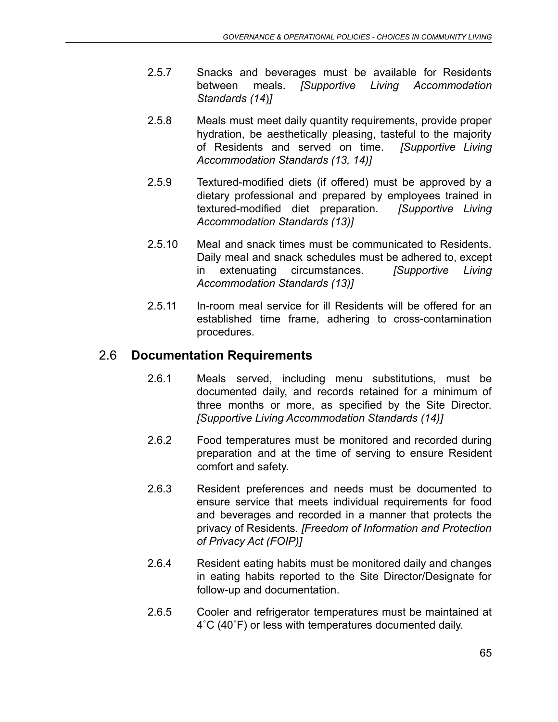- 2.5.7 Snacks and beverages must be available for Residents between meals. *[Supportive Living Accommodation Standards (14*)*]*
- 2.5.8 Meals must meet daily quantity requirements, provide proper hydration, be aesthetically pleasing, tasteful to the majority of Residents and served on time. *[Supportive Living Accommodation Standards (13, 14)]*
- 2.5.9 Textured-modified diets (if offered) must be approved by a dietary professional and prepared by employees trained in textured-modified diet preparation. *[Supportive Living Accommodation Standards (13)]*
- 2.5.10 Meal and snack times must be communicated to Residents. Daily meal and snack schedules must be adhered to, except in extenuating circumstances. *[Supportive Living Accommodation Standards (13)]*
- 2.5.11 In-room meal service for ill Residents will be offered for an established time frame, adhering to cross-contamination procedures.

# 2.6 **Documentation Requirements**

- 2.6.1 Meals served, including menu substitutions, must be documented daily, and records retained for a minimum of three months or more, as specified by the Site Director. *[Supportive Living Accommodation Standards (14)]*
- 2.6.2 Food temperatures must be monitored and recorded during preparation and at the time of serving to ensure Resident comfort and safety.
- 2.6.3 Resident preferences and needs must be documented to ensure service that meets individual requirements for food and beverages and recorded in a manner that protects the privacy of Residents. *[Freedom of Information and Protection of Privacy Act (FOIP)]*
- 2.6.4 Resident eating habits must be monitored daily and changes in eating habits reported to the Site Director/Designate for follow-up and documentation.
- 2.6.5 Cooler and refrigerator temperatures must be maintained at 4˚C (40˚F) or less with temperatures documented daily.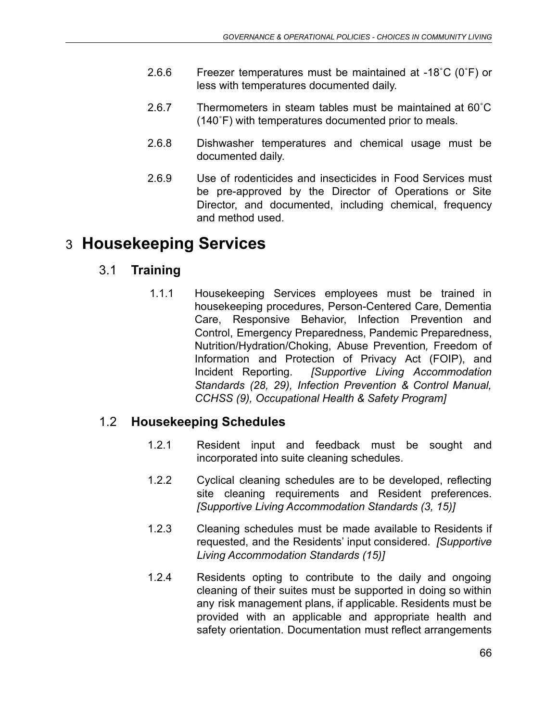- 2.6.6 Freezer temperatures must be maintained at -18˚C (0˚F) or less with temperatures documented daily.
- 2.6.7 Thermometers in steam tables must be maintained at 60˚C (140˚F) with temperatures documented prior to meals.
- 2.6.8 Dishwasher temperatures and chemical usage must be documented daily.
- 2.6.9 Use of rodenticides and insecticides in Food Services must be pre-approved by the Director of Operations or Site Director, and documented, including chemical, frequency and method used.

# 3 **Housekeeping Services**

# 3.1 **Training**

1.1.1 Housekeeping Services employees must be trained in housekeeping procedures, Person-Centered Care, Dementia Care, Responsive Behavior, Infection Prevention and Control, Emergency Preparedness, Pandemic Preparedness, Nutrition/Hydration/Choking, Abuse Prevention*,* Freedom of Information and Protection of Privacy Act (FOIP), and Incident Reporting. *[Supportive Living Accommodation Standards (28, 29), Infection Prevention & Control Manual, CCHSS (9), Occupational Health & Safety Program]*

# 1.2 **Housekeeping Schedules**

- 1.2.1 Resident input and feedback must be sought and incorporated into suite cleaning schedules.
- 1.2.2 Cyclical cleaning schedules are to be developed, reflecting site cleaning requirements and Resident preferences. *[Supportive Living Accommodation Standards (3, 15)]*
- 1.2.3 Cleaning schedules must be made available to Residents if requested, and the Residents' input considered. *[Supportive Living Accommodation Standards (15)]*
- 1.2.4 Residents opting to contribute to the daily and ongoing cleaning of their suites must be supported in doing so within any risk management plans, if applicable. Residents must be provided with an applicable and appropriate health and safety orientation. Documentation must reflect arrangements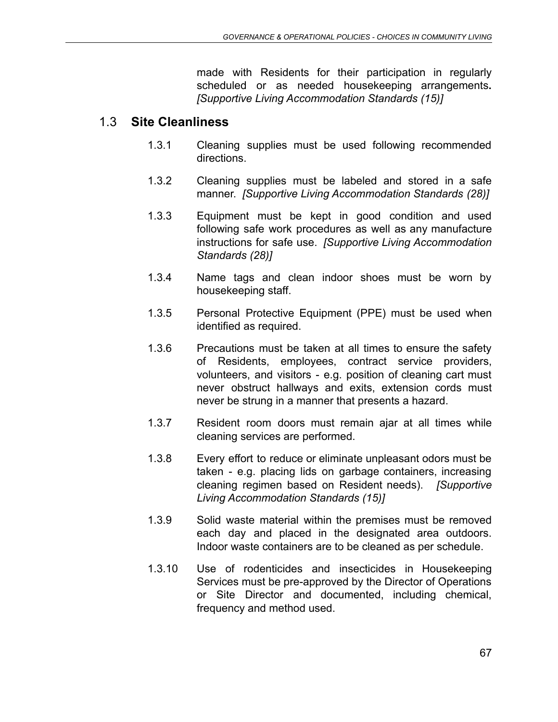made with Residents for their participation in regularly scheduled or as needed housekeeping arrangements**.** *[Supportive Living Accommodation Standards (15)]*

#### 1.3 **Site Cleanliness**

- 1.3.1 Cleaning supplies must be used following recommended directions.
- 1.3.2 Cleaning supplies must be labeled and stored in a safe manner. *[Supportive Living Accommodation Standards (28)]*
- 1.3.3 Equipment must be kept in good condition and used following safe work procedures as well as any manufacture instructions for safe use. *[Supportive Living Accommodation Standards (28)]*
- 1.3.4 Name tags and clean indoor shoes must be worn by housekeeping staff.
- 1.3.5 Personal Protective Equipment (PPE) must be used when identified as required.
- 1.3.6 Precautions must be taken at all times to ensure the safety of Residents, employees, contract service providers, volunteers, and visitors - e.g. position of cleaning cart must never obstruct hallways and exits, extension cords must never be strung in a manner that presents a hazard.
- 1.3.7 Resident room doors must remain ajar at all times while cleaning services are performed.
- 1.3.8 Every effort to reduce or eliminate unpleasant odors must be taken - e.g. placing lids on garbage containers, increasing cleaning regimen based on Resident needs). *[Supportive Living Accommodation Standards (15)]*
- 1.3.9 Solid waste material within the premises must be removed each day and placed in the designated area outdoors. Indoor waste containers are to be cleaned as per schedule.
- 1.3.10 Use of rodenticides and insecticides in Housekeeping Services must be pre-approved by the Director of Operations or Site Director and documented, including chemical, frequency and method used.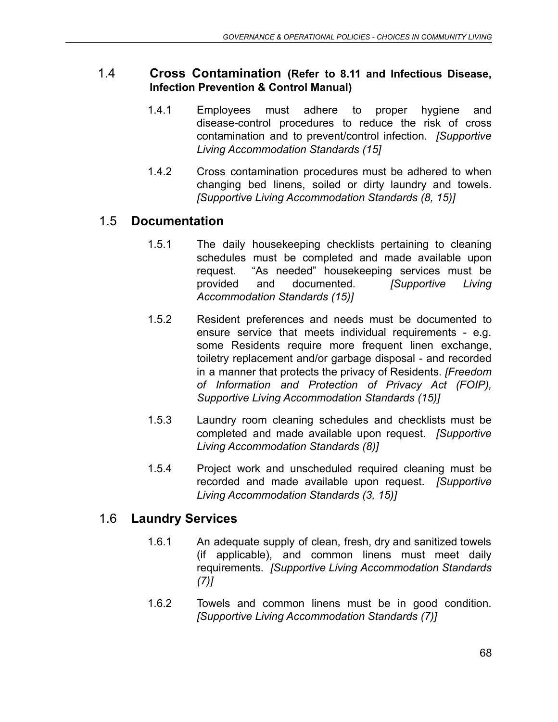### 1.4 **Cross Contamination (Refer to 8.11 and Infectious Disease, Infection Prevention & Control Manual)**

- 1.4.1 Employees must adhere to proper hygiene and disease-control procedures to reduce the risk of cross contamination and to prevent/control infection. *[Supportive Living Accommodation Standards (15]*
- 1.4.2 Cross contamination procedures must be adhered to when changing bed linens, soiled or dirty laundry and towels. *[Supportive Living Accommodation Standards (8, 15)]*

# 1.5 **Documentation**

- 1.5.1 The daily housekeeping checklists pertaining to cleaning schedules must be completed and made available upon request. "As needed" housekeeping services must be provided and documented. *[Supportive Living Accommodation Standards (15)]*
- 1.5.2 Resident preferences and needs must be documented to ensure service that meets individual requirements - e.g. some Residents require more frequent linen exchange, toiletry replacement and/or garbage disposal - and recorded in a manner that protects the privacy of Residents. *[Freedom of Information and Protection of Privacy Act (FOIP), Supportive Living Accommodation Standards (15)]*
- 1.5.3 Laundry room cleaning schedules and checklists must be completed and made available upon request. *[Supportive Living Accommodation Standards (8)]*
- 1.5.4 Project work and unscheduled required cleaning must be recorded and made available upon request. *[Supportive Living Accommodation Standards (3, 15)]*

# 1.6 **Laundry Services**

- 1.6.1 An adequate supply of clean, fresh, dry and sanitized towels (if applicable), and common linens must meet daily requirements. *[Supportive Living Accommodation Standards (7)]*
- 1.6.2 Towels and common linens must be in good condition. *[Supportive Living Accommodation Standards (7)]*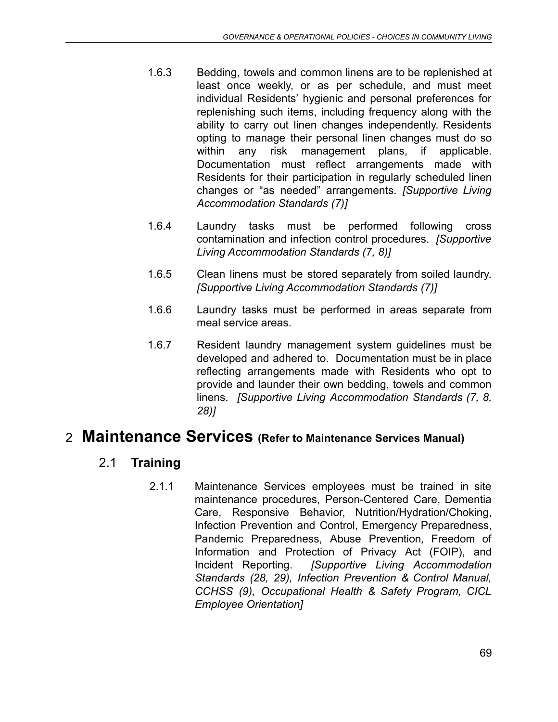- 1.6.3 Bedding, towels and common linens are to be replenished at least once weekly, or as per schedule, and must meet individual Residents' hygienic and personal preferences for replenishing such items, including frequency along with the ability to carry out linen changes independently. Residents opting to manage their personal linen changes must do so within any risk management plans, if applicable. Documentation must reflect arrangements made with Residents for their participation in regularly scheduled linen changes or "as needed" arrangements. *[Supportive Living Accommodation Standards (7)]*
- 1.6.4 Laundry tasks must be performed following cross contamination and infection control procedures. *[Supportive Living Accommodation Standards (7, 8)]*
- 1.6.5 Clean linens must be stored separately from soiled laundry. *[Supportive Living Accommodation Standards (7)]*
- 1.6.6 Laundry tasks must be performed in areas separate from meal service areas.
- 1.6.7 Resident laundry management system guidelines must be developed and adhered to. Documentation must be in place reflecting arrangements made with Residents who opt to provide and launder their own bedding, towels and common linens. *[Supportive Living Accommodation Standards (7, 8, 28)]*

# 2 **Maintenance Services (Refer to Maintenance Services Manual)**

# 2.1 **Training**

2.1.1 Maintenance Services employees must be trained in site maintenance procedures, Person-Centered Care, Dementia Care, Responsive Behavior, Nutrition/Hydration/Choking, Infection Prevention and Control, Emergency Preparedness, Pandemic Preparedness, Abuse Prevention*,* Freedom of Information and Protection of Privacy Act (FOIP), and Incident Reporting. *[Supportive Living Accommodation Standards (28, 29), Infection Prevention & Control Manual, CCHSS (9), Occupational Health & Safety Program, CICL Employee Orientation]*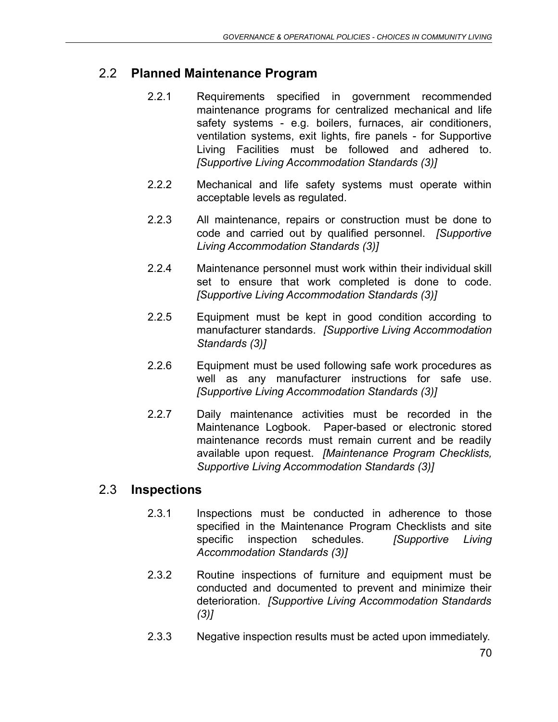# 2.2 **Planned Maintenance Program**

- 2.2.1 Requirements specified in government recommended maintenance programs for centralized mechanical and life safety systems - e.g. boilers, furnaces, air conditioners, ventilation systems, exit lights, fire panels - for Supportive Living Facilities must be followed and adhered to. *[Supportive Living Accommodation Standards (3)]*
- 2.2.2 Mechanical and life safety systems must operate within acceptable levels as regulated.
- 2.2.3 All maintenance, repairs or construction must be done to code and carried out by qualified personnel. *[Supportive Living Accommodation Standards (3)]*
- 2.2.4 Maintenance personnel must work within their individual skill set to ensure that work completed is done to code. *[Supportive Living Accommodation Standards (3)]*
- 2.2.5 Equipment must be kept in good condition according to manufacturer standards. *[Supportive Living Accommodation Standards (3)]*
- 2.2.6 Equipment must be used following safe work procedures as well as any manufacturer instructions for safe use. *[Supportive Living Accommodation Standards (3)]*
- 2.2.7 Daily maintenance activities must be recorded in the Maintenance Logbook. Paper-based or electronic stored maintenance records must remain current and be readily available upon request. *[Maintenance Program Checklists, Supportive Living Accommodation Standards (3)]*

# 2.3 **Inspections**

- 2.3.1 Inspections must be conducted in adherence to those specified in the Maintenance Program Checklists and site specific inspection schedules. *[Supportive Living Accommodation Standards (3)]*
- 2.3.2 Routine inspections of furniture and equipment must be conducted and documented to prevent and minimize their deterioration. *[Supportive Living Accommodation Standards (3)]*
- 2.3.3 Negative inspection results must be acted upon immediately.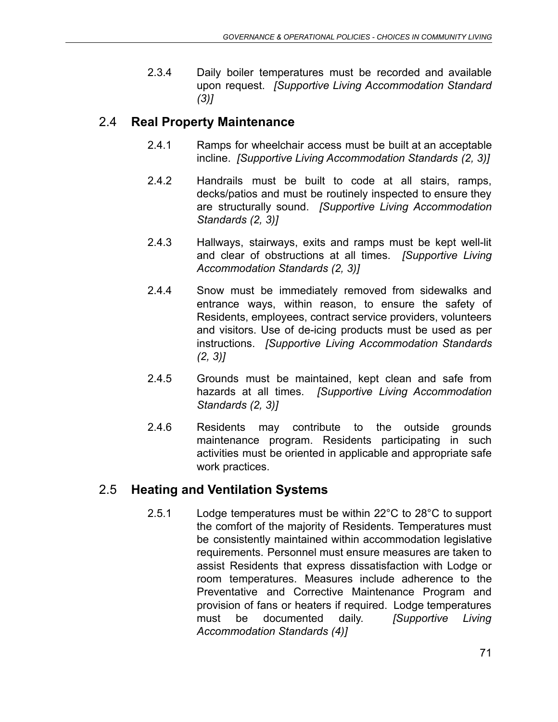2.3.4 Daily boiler temperatures must be recorded and available upon request. *[Supportive Living Accommodation Standard (3)]*

# 2.4 **Real Property Maintenance**

- 2.4.1 Ramps for wheelchair access must be built at an acceptable incline. *[Supportive Living Accommodation Standards (2, 3)]*
- 2.4.2 Handrails must be built to code at all stairs, ramps, decks/patios and must be routinely inspected to ensure they are structurally sound. *[Supportive Living Accommodation Standards (2, 3)]*
- 2.4.3 Hallways, stairways, exits and ramps must be kept well-lit and clear of obstructions at all times. *[Supportive Living Accommodation Standards (2, 3)]*
- 2.4.4 Snow must be immediately removed from sidewalks and entrance ways, within reason, to ensure the safety of Residents, employees, contract service providers, volunteers and visitors. Use of de-icing products must be used as per instructions. *[Supportive Living Accommodation Standards (2, 3)]*
- 2.4.5 Grounds must be maintained, kept clean and safe from hazards at all times. *[Supportive Living Accommodation Standards (2, 3)]*
- 2.4.6 Residents may contribute to the outside grounds maintenance program. Residents participating in such activities must be oriented in applicable and appropriate safe work practices.

# 2.5 **Heating and Ventilation Systems**

2.5.1 Lodge temperatures must be within 22°C to 28°C to support the comfort of the majority of Residents. Temperatures must be consistently maintained within accommodation legislative requirements. Personnel must ensure measures are taken to assist Residents that express dissatisfaction with Lodge or room temperatures. Measures include adherence to the Preventative and Corrective Maintenance Program and provision of fans or heaters if required. Lodge temperatures must be documented daily. *[Supportive Living Accommodation Standards (4)]*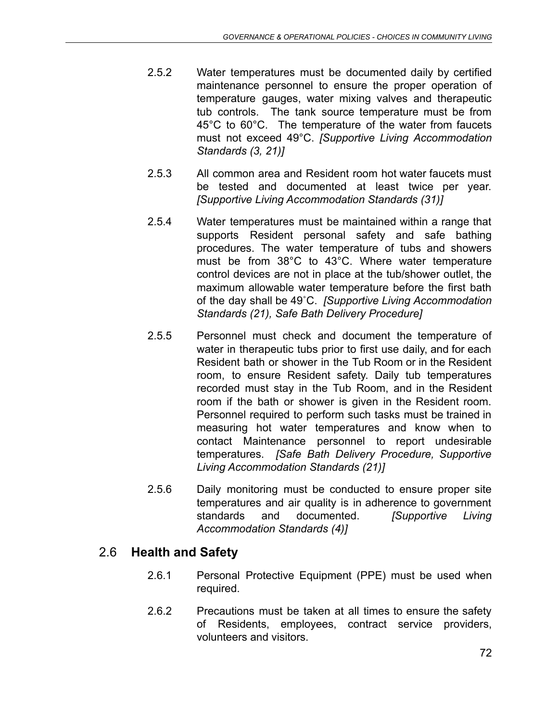- 2.5.2 Water temperatures must be documented daily by certified maintenance personnel to ensure the proper operation of temperature gauges, water mixing valves and therapeutic tub controls. The tank source temperature must be from 45°C to 60°C. The temperature of the water from faucets must not exceed 49°C. *[Supportive Living Accommodation Standards (3, 21)]*
- 2.5.3 All common area and Resident room hot water faucets must be tested and documented at least twice per year. *[Supportive Living Accommodation Standards (31)]*
- 2.5.4 Water temperatures must be maintained within a range that supports Resident personal safety and safe bathing procedures. The water temperature of tubs and showers must be from 38°C to 43°C. Where water temperature control devices are not in place at the tub/shower outlet, the maximum allowable water temperature before the first bath of the day shall be 49˚C. *[Supportive Living Accommodation Standards (21), Safe Bath Delivery Procedure]*
- 2.5.5 Personnel must check and document the temperature of water in therapeutic tubs prior to first use daily, and for each Resident bath or shower in the Tub Room or in the Resident room, to ensure Resident safety. Daily tub temperatures recorded must stay in the Tub Room, and in the Resident room if the bath or shower is given in the Resident room. Personnel required to perform such tasks must be trained in measuring hot water temperatures and know when to contact Maintenance personnel to report undesirable temperatures. *[Safe Bath Delivery Procedure, Supportive Living Accommodation Standards (21)]*
- 2.5.6 Daily monitoring must be conducted to ensure proper site temperatures and air quality is in adherence to government standards and documented. *[Supportive Living Accommodation Standards (4)]*

# 2.6 **Health and Safety**

- 2.6.1 Personal Protective Equipment (PPE) must be used when required.
- 2.6.2 Precautions must be taken at all times to ensure the safety of Residents, employees, contract service providers, volunteers and visitors.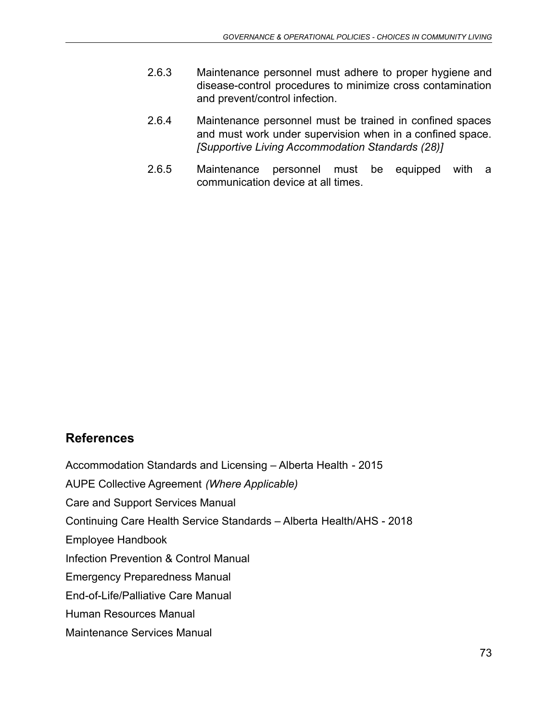- 2.6.3 Maintenance personnel must adhere to proper hygiene and disease-control procedures to minimize cross contamination and prevent/control infection.
- 2.6.4 Maintenance personnel must be trained in confined spaces and must work under supervision when in a confined space. *[Supportive Living Accommodation Standards (28)]*
- 2.6.5 Maintenance personnel must be equipped with a communication device at all times.

## **References**

Accommodation Standards and Licensing – Alberta Health - 2015

AUPE Collective Agreement *(Where Applicable)*

Care and Support Services Manual

Continuing Care Health Service Standards – Alberta Health/AHS - 2018

Employee Handbook

Infection Prevention & Control Manual

Emergency Preparedness Manual

End-of-Life/Palliative Care Manual

Human Resources Manual

Maintenance Services Manual